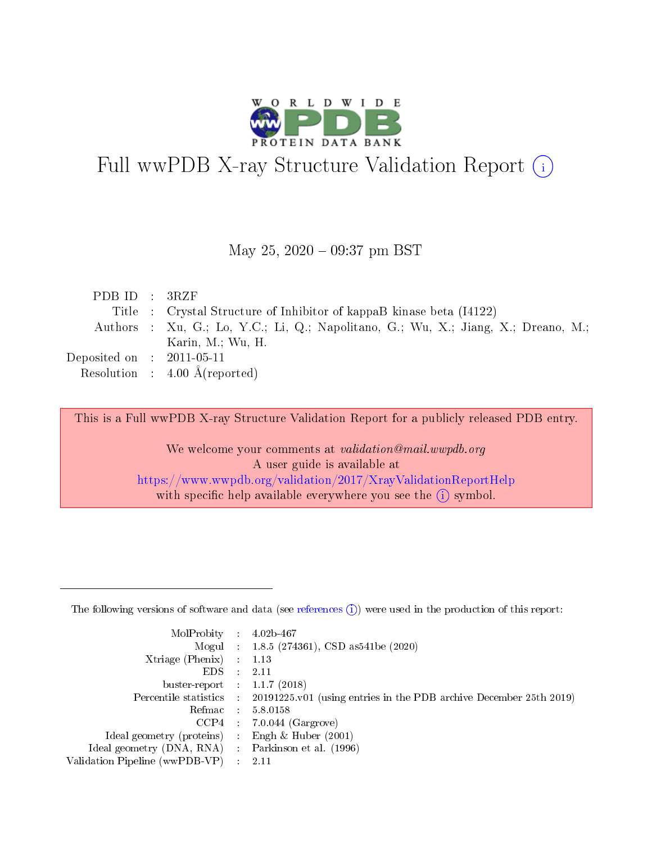

# Full wwPDB X-ray Structure Validation Report (i)

#### May 25,  $2020 - 09:37$  pm BST

| PDBID : 3RZF                         |                                                                                    |
|--------------------------------------|------------------------------------------------------------------------------------|
|                                      | Title : Crystal Structure of Inhibitor of kappaB kinase beta (I4122)               |
|                                      | Authors : Xu, G.; Lo, Y.C.; Li, Q.; Napolitano, G.; Wu, X.; Jiang, X.; Dreano, M.; |
|                                      | Karin, M.; Wu, H.                                                                  |
| Deposited on $\therefore$ 2011-05-11 |                                                                                    |
|                                      | Resolution : $4.00 \text{ Å}$ (reported)                                           |

This is a Full wwPDB X-ray Structure Validation Report for a publicly released PDB entry.

We welcome your comments at validation@mail.wwpdb.org A user guide is available at <https://www.wwpdb.org/validation/2017/XrayValidationReportHelp> with specific help available everywhere you see the  $(i)$  symbol.

The following versions of software and data (see [references](https://www.wwpdb.org/validation/2017/XrayValidationReportHelp#references)  $(1)$ ) were used in the production of this report:

| MolProbity :                   |               | $4.02b - 467$                                                               |
|--------------------------------|---------------|-----------------------------------------------------------------------------|
|                                |               | Mogul : $1.8.5$ (274361), CSD as 541be (2020)                               |
| Xtriage (Phenix)               | $\mathcal{L}$ | 1.13                                                                        |
| EDS.                           |               | 2.11                                                                        |
| buster-report : $1.1.7$ (2018) |               |                                                                             |
| Percentile statistics :        |               | $20191225 \text{v}01$ (using entries in the PDB archive December 25th 2019) |
| Refmac :                       |               | 5.8.0158                                                                    |
| CCP4                           |               | $7.0.044$ (Gargrove)                                                        |
| Ideal geometry (proteins) :    |               | Engh $\&$ Huber (2001)                                                      |
| Ideal geometry (DNA, RNA) :    |               | Parkinson et al. (1996)                                                     |
| Validation Pipeline (wwPDB-VP) | $\mathcal{L}$ | 2.11                                                                        |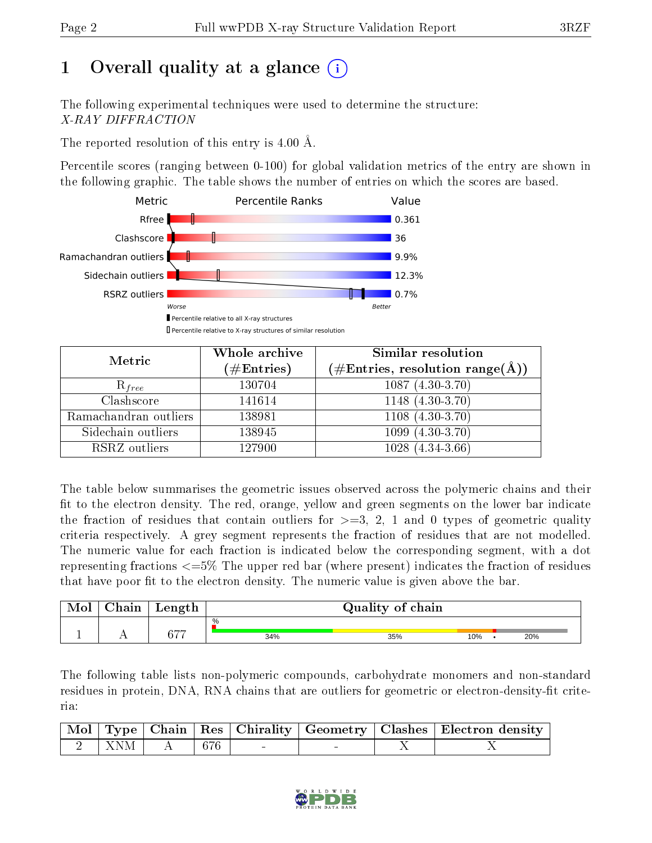# 1 [O](https://www.wwpdb.org/validation/2017/XrayValidationReportHelp#overall_quality)verall quality at a glance  $(i)$

The following experimental techniques were used to determine the structure: X-RAY DIFFRACTION

The reported resolution of this entry is 4.00 Å.

Percentile scores (ranging between 0-100) for global validation metrics of the entry are shown in the following graphic. The table shows the number of entries on which the scores are based.



| Metric                | Whole archive        | Similar resolution                                                     |
|-----------------------|----------------------|------------------------------------------------------------------------|
|                       | $(\#\text{Entries})$ | $(\#\text{Entries},\,\text{resolution}\,\,\text{range}(\textup{\AA}))$ |
| $R_{free}$            | 130704               | $1087(4.30-3.70)$                                                      |
| Clashscore            | 141614               | $1148$ $(4.30-3.70)$                                                   |
| Ramachandran outliers | 138981               | $1108(4.30-3.70)$                                                      |
| Sidechain outliers    | 138945               | $1099(4.30-3.70)$                                                      |
| RSRZ outliers         | 127900               | $1028(4.34-3.66)$                                                      |

The table below summarises the geometric issues observed across the polymeric chains and their fit to the electron density. The red, orange, yellow and green segments on the lower bar indicate the fraction of residues that contain outliers for  $\geq=3$ , 2, 1 and 0 types of geometric quality criteria respectively. A grey segment represents the fraction of residues that are not modelled. The numeric value for each fraction is indicated below the corresponding segment, with a dot representing fractions  $\epsilon=5\%$  The upper red bar (where present) indicates the fraction of residues that have poor fit to the electron density. The numeric value is given above the bar.

| Mol | $\cap$ hain | Length                   | Quality of chain |     |     |  |     |  |
|-----|-------------|--------------------------|------------------|-----|-----|--|-----|--|
|     |             | $\overline{\phantom{a}}$ | $\%$             |     |     |  |     |  |
|     |             |                          | 34%              | 35% | 10% |  | 20% |  |

The following table lists non-polymeric compounds, carbohydrate monomers and non-standard residues in protein, DNA, RNA chains that are outliers for geometric or electron-density-fit criteria:

|  |                                                                           |  |  | Mol   Type   Chain   Res   Chirality   Geometry   Clashes   Electron density |
|--|---------------------------------------------------------------------------|--|--|------------------------------------------------------------------------------|
|  | $\begin{array}{ c c c c c c c c } \hline 2 & XNM & A & 676 & \end{array}$ |  |  |                                                                              |

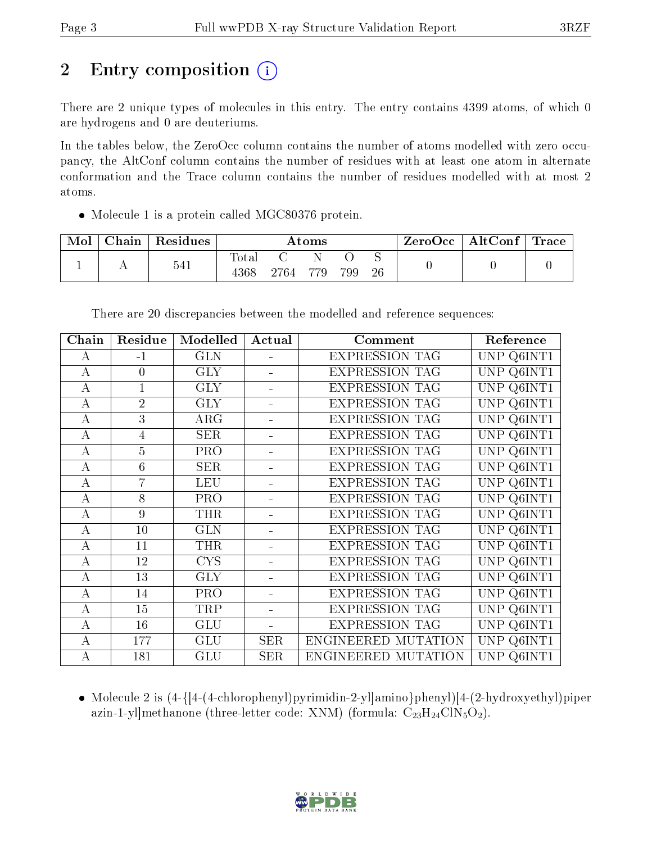# 2 Entry composition  $\left( \cdot \right)$

There are 2 unique types of molecules in this entry. The entry contains 4399 atoms, of which 0 are hydrogens and 0 are deuteriums.

In the tables below, the ZeroOcc column contains the number of atoms modelled with zero occupancy, the AltConf column contains the number of residues with at least one atom in alternate conformation and the Trace column contains the number of residues modelled with at most 2 atoms.

• Molecule 1 is a protein called MGC80376 protein.

| Mol | Chain | Residues | Atoms                    |      |     |     |    | $\rm{ZeroOcc}$   $\rm{AltConf}$   $\rm{Trace}$ |  |
|-----|-------|----------|--------------------------|------|-----|-----|----|------------------------------------------------|--|
|     |       | 541      | $\mathrm{Total}$<br>4368 | 2764 | 779 | 799 | 26 |                                                |  |

| Chain            | Residue        | Modelled                | Actual     | Comment               | Reference      |
|------------------|----------------|-------------------------|------------|-----------------------|----------------|
| А                | $-1$           | <b>GLN</b>              |            | <b>EXPRESSION TAG</b> | UNP Q6INT1     |
| А                | $\overline{0}$ | <b>GLY</b>              |            | <b>EXPRESSION TAG</b> | UNP Q6INT1     |
| А                | $\mathbf{1}$   | <b>GLY</b>              | ÷.         | <b>EXPRESSION TAG</b> | UNP Q6INT1     |
| A                | $\overline{2}$ | <b>GLY</b>              |            | <b>EXPRESSION TAG</b> | UNP<br>Q6INT1  |
| $\boldsymbol{A}$ | $\overline{3}$ | $\overline{\text{ARG}}$ | ۰          | <b>EXPRESSION TAG</b> | UNP Q6INT1     |
| А                | $\overline{4}$ | <b>SER</b>              |            | <b>EXPRESSION TAG</b> | UNP Q6INT1     |
| А                | $\overline{5}$ | PRO                     | ÷.         | <b>EXPRESSION TAG</b> | UNP Q6INT1     |
| А                | $\overline{6}$ | <b>SER</b>              | ۰          | <b>EXPRESSION TAG</b> | UNP Q6INT1     |
| $\bf{A}$         | $\overline{7}$ | <b>LEU</b>              | ÷.         | <b>EXPRESSION TAG</b> | UNP Q6INT1     |
| $\bf{A}$         | 8              | PRO                     |            | <b>EXPRESSION TAG</b> | UNP Q6INT1     |
| А                | 9              | <b>THR</b>              |            | <b>EXPRESSION TAG</b> | UNP Q6INT1     |
| $\overline{A}$   | 10             | <b>GLN</b>              |            | <b>EXPRESSION TAG</b> | UNP<br>Q6INT1  |
| А                | 11             | THR                     |            | <b>EXPRESSION TAG</b> | UNP<br>Q6INT1  |
| $\overline{A}$   | 12             | <b>CYS</b>              | ÷.         | <b>EXPRESSION TAG</b> | UNP<br>Q6INT1  |
| А                | 13             | <b>GLY</b>              |            | <b>EXPRESSION TAG</b> | UNP Q6INT1     |
| $\boldsymbol{A}$ | 14             | PRO                     | ÷          | <b>EXPRESSION TAG</b> | UNP<br>Q6INT1  |
| А                | 15             | TRP                     |            | <b>EXPRESSION TAG</b> | UNP<br>Q6INT1  |
| $\boldsymbol{A}$ | 16             | <b>GLU</b>              | ÷          | <b>EXPRESSION TAG</b> | UNP.<br>Q6INT1 |
| А                | 177            | <b>GLU</b>              | <b>SER</b> | ENGINEERED MUTATION   | UNP<br>Q6INT1  |
| $\overline{A}$   | 181            | GLU                     | <b>SER</b> | ENGINEERED MUTATION   | UNP Q6INT1     |

There are 20 discrepancies between the modelled and reference sequences:

 Molecule 2 is (4-{[4-(4-chlorophenyl)pyrimidin-2-yl]amino}phenyl)[4-(2-hydroxyethyl)piper azin-1-yl]methanone (three-letter code: XNM) (formula:  $C_{23}H_{24}CIN_5O_2$ ).

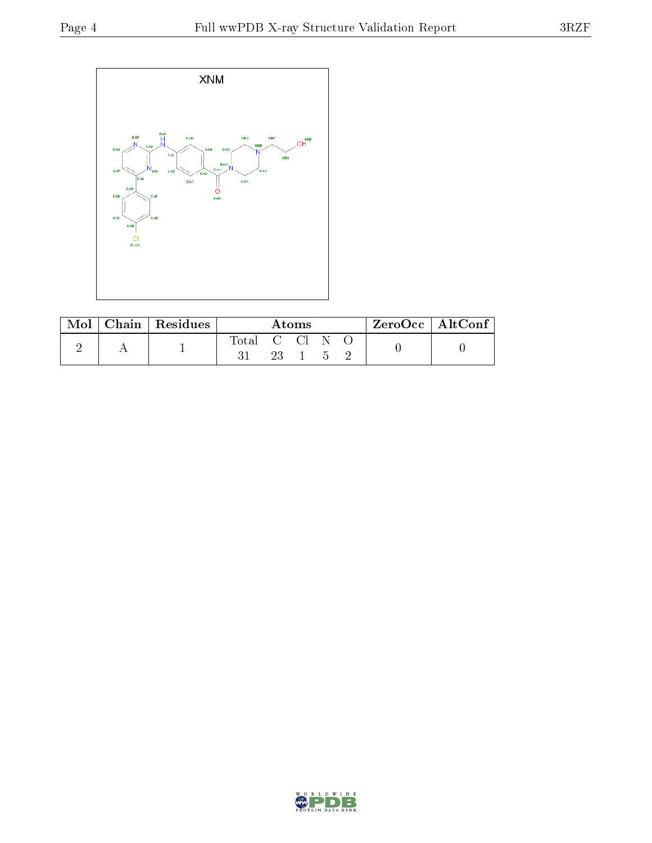

| Mol | Chain   Residues | Atoms |        |  |  |  | $ZeroOcc \   \ AltConf \  $ |
|-----|------------------|-------|--------|--|--|--|-----------------------------|
|     |                  | Total | - C Cl |  |  |  |                             |

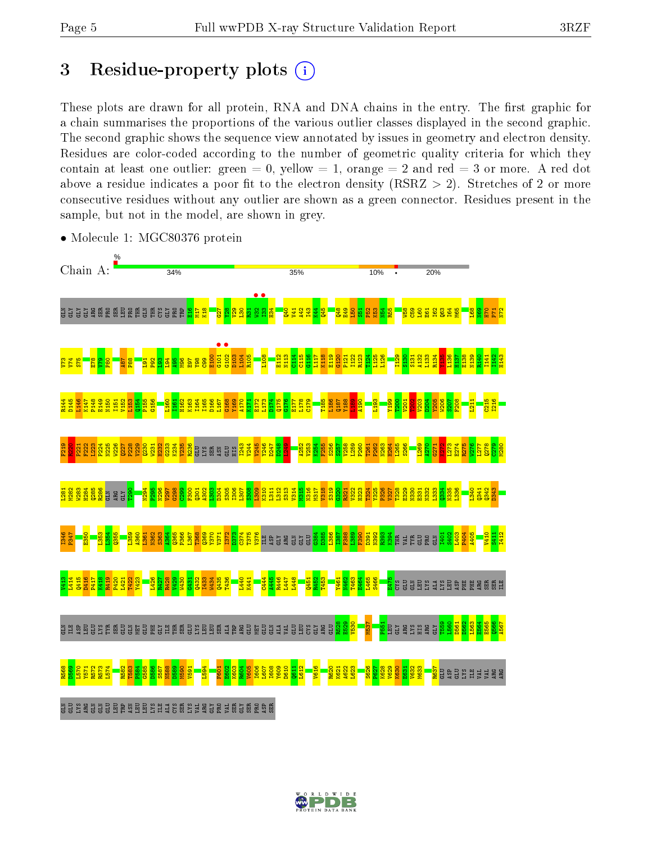# 3 Residue-property plots  $(i)$

These plots are drawn for all protein, RNA and DNA chains in the entry. The first graphic for a chain summarises the proportions of the various outlier classes displayed in the second graphic. The second graphic shows the sequence view annotated by issues in geometry and electron density. Residues are color-coded according to the number of geometric quality criteria for which they contain at least one outlier: green  $= 0$ , yellow  $= 1$ , orange  $= 2$  and red  $= 3$  or more. A red dot above a residue indicates a poor fit to the electron density (RSRZ  $> 2$ ). Stretches of 2 or more consecutive residues without any outlier are shown as a green connector. Residues present in the sample, but not in the model, are shown in grey.



• Molecule 1: MGC80376 protein

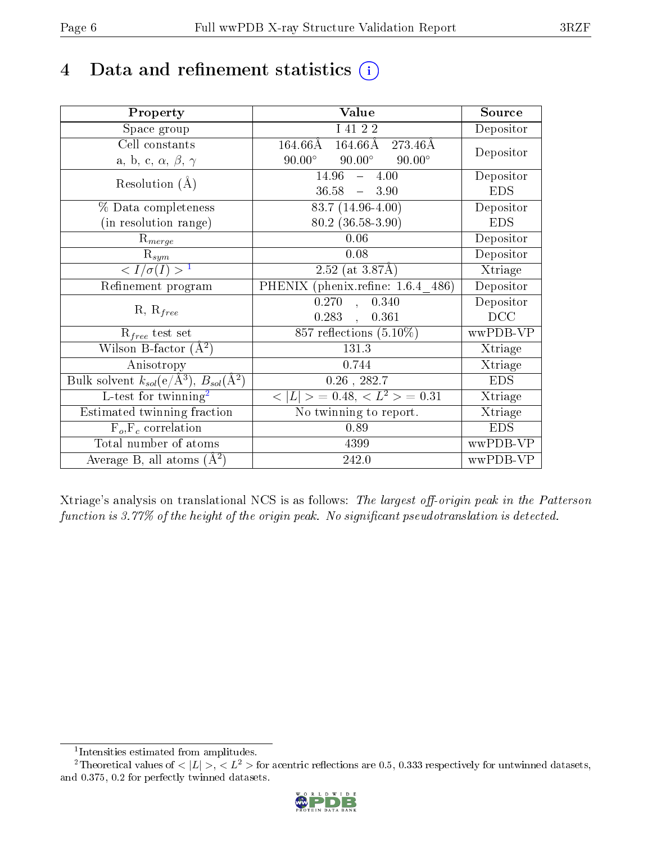# 4 Data and refinement statistics  $(i)$

| Property                                                             | Value                                           | Source         |
|----------------------------------------------------------------------|-------------------------------------------------|----------------|
| Space group                                                          | I 41 2 2                                        | Depositor      |
| Cell constants                                                       | $164.66\text{\AA}$<br>$164.66\rm\AA$<br>273.46Å | Depositor      |
| a, b, c, $\alpha$ , $\beta$ , $\gamma$                               | $90.00^\circ$<br>$90.00^\circ$<br>$90.00^\circ$ |                |
| Resolution $(A)$                                                     | $14.96 - 4.00$                                  | Depositor      |
|                                                                      | $36.58 - 3.90$                                  | <b>EDS</b>     |
| % Data completeness                                                  | $83.7(14.96-4.00)$                              | Depositor      |
| (in resolution range)                                                | $80.2$ $(36.58 - 3.90)$                         | <b>EDS</b>     |
| $R_{merge}$                                                          | 0.06                                            | Depositor      |
| $\mathrm{R}_{sym}$                                                   | 0.08                                            | Depositor      |
| $\langle I/\sigma(I) \rangle^{-1}$                                   | $2.52$ (at 3.87Å)                               | Xtriage        |
| Refinement program                                                   | PHENIX (phenix.refine: 1.6.4 486)               | Depositor      |
| $R, R_{free}$                                                        | 0.270<br>0.340<br>$\sim$                        | Depositor      |
|                                                                      | 0.283<br>0.361                                  | DCC            |
| $R_{free}$ test set                                                  | 857 reflections $(5.10\%)$                      | wwPDB-VP       |
| Wilson B-factor $(A^2)$                                              | 131.3                                           | Xtriage        |
| Anisotropy                                                           | 0.744                                           | Xtriage        |
| Bulk solvent $k_{sol}(e/\mathring{A}^3)$ , $B_{sol}(\mathring{A}^2)$ | $0.26$ , 282.7                                  | <b>EDS</b>     |
| L-test for twinning <sup>2</sup>                                     | $< L >$ = 0.48, $< L2$ = 0.31                   | <b>Xtriage</b> |
| Estimated twinning fraction                                          | No twinning to report.                          | Xtriage        |
| $F_o, F_c$ correlation                                               | 0.89                                            | <b>EDS</b>     |
| Total number of atoms                                                | 4399                                            | wwPDB-VP       |
| Average B, all atoms $(A^2)$                                         | 242.0                                           | wwPDB-VP       |

Xtriage's analysis on translational NCS is as follows: The largest off-origin peak in the Patterson function is  $3.77\%$  of the height of the origin peak. No significant pseudotranslation is detected.

<sup>&</sup>lt;sup>2</sup>Theoretical values of  $\langle |L| \rangle$ ,  $\langle L^2 \rangle$  for acentric reflections are 0.5, 0.333 respectively for untwinned datasets, and 0.375, 0.2 for perfectly twinned datasets.



<span id="page-5-1"></span><span id="page-5-0"></span><sup>1</sup> Intensities estimated from amplitudes.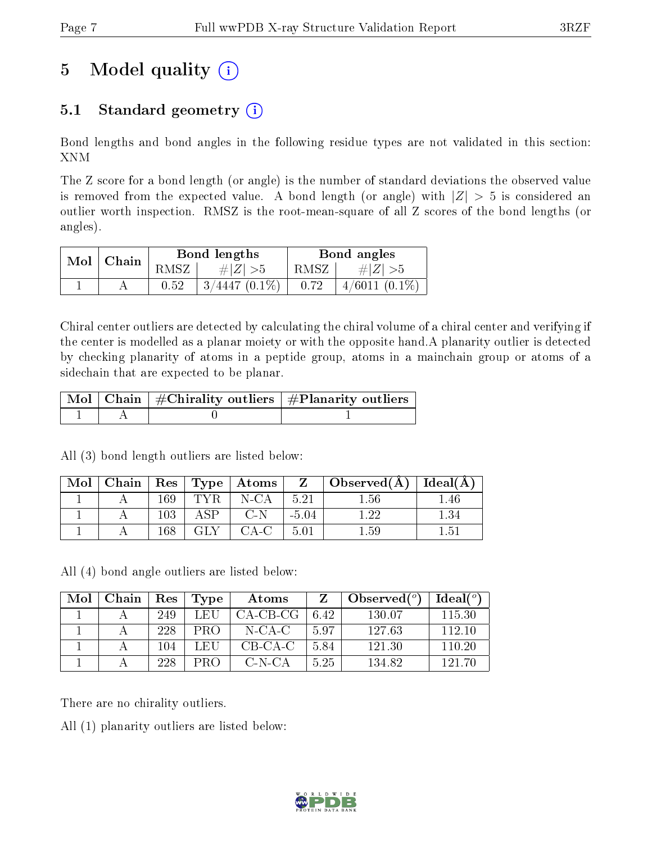# 5 Model quality  $(i)$

### 5.1 Standard geometry  $(i)$

Bond lengths and bond angles in the following residue types are not validated in this section: XNM

The Z score for a bond length (or angle) is the number of standard deviations the observed value is removed from the expected value. A bond length (or angle) with  $|Z| > 5$  is considered an outlier worth inspection. RMSZ is the root-mean-square of all Z scores of the bond lengths (or angles).

| Mol   Chain |      | Bond lengths       | Bond angles |                 |  |
|-------------|------|--------------------|-------------|-----------------|--|
|             | RMSZ | # $ Z  > 5$        | RMSZ        | $\# Z  > 5$     |  |
|             | 0.52 | $3/4447$ $(0.1\%)$ | 0.72        | $4/6011(0.1\%)$ |  |

Chiral center outliers are detected by calculating the chiral volume of a chiral center and verifying if the center is modelled as a planar moiety or with the opposite hand.A planarity outlier is detected by checking planarity of atoms in a peptide group, atoms in a mainchain group or atoms of a sidechain that are expected to be planar.

|  | $\mid$ Mol $\mid$ Chain $\mid$ #Chirality outliers $\mid$ #Planarity outliers $\mid$ |
|--|--------------------------------------------------------------------------------------|
|  |                                                                                      |

All (3) bond length outliers are listed below:

| Mol | Chain |    |                        | $\parallel$ Res $\parallel$ Type $\parallel$ Atoms $\parallel$ |         | $\pm$ Observed(A). | $Ideal(\AA)$ |
|-----|-------|----|------------------------|----------------------------------------------------------------|---------|--------------------|--------------|
|     |       | 60 |                        | $N$ -CA                                                        | 5.21    |                    | .40          |
|     |       | 03 | $\mathbb{C}\mathbb{D}$ | $C-N$                                                          | $-5.04$ |                    |              |
|     |       | 68 |                        |                                                                | 5.01    |                    |              |

All (4) bond angle outliers are listed below:

| Mol | Chain | Res | Type | Atoms      |      | Observed $(°)$ | Ideal $(°)$ |
|-----|-------|-----|------|------------|------|----------------|-------------|
|     |       | 249 | LEU  | $CA-CB-CG$ | 6.42 | 130.07         | 115.30      |
|     |       | 228 | PRO  | $N$ -CA-C  | 5.97 | 127.63         | 112.10      |
|     |       | 104 | LEU  | $CB-CA-C$  | 5.84 | 121.30         | 110.20      |
|     |       | 228 | PRO  | C-N-CA     | 5.25 | 134.82         | 191 ZO      |

There are no chirality outliers.

All (1) planarity outliers are listed below:

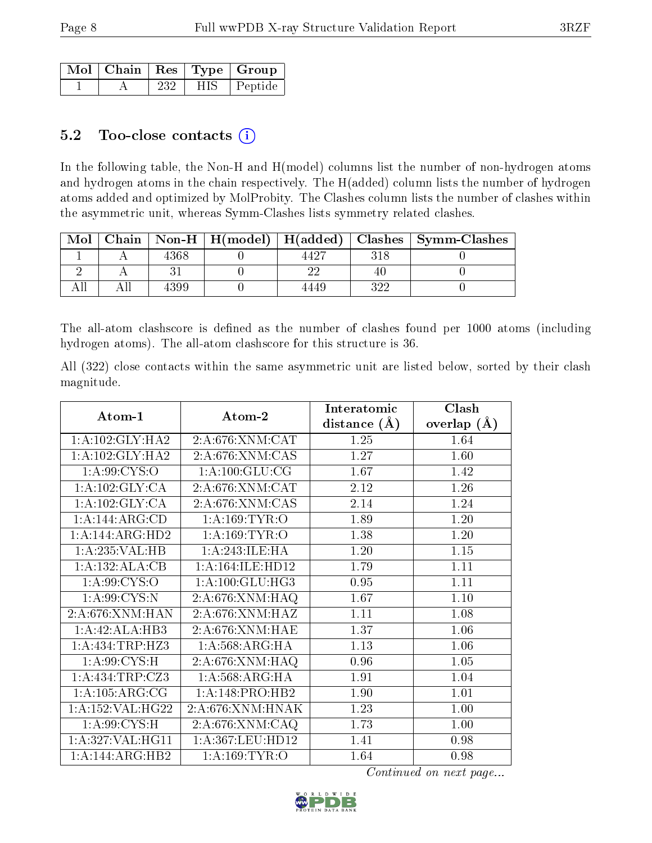|  |     |       | Mol   Chain   Res   Type   Group |
|--|-----|-------|----------------------------------|
|  | 232 | HIS - | Peptide                          |

#### 5.2 Too-close contacts  $(i)$

In the following table, the Non-H and H(model) columns list the number of non-hydrogen atoms and hydrogen atoms in the chain respectively. The H(added) column lists the number of hydrogen atoms added and optimized by MolProbity. The Clashes column lists the number of clashes within the asymmetric unit, whereas Symm-Clashes lists symmetry related clashes.

| Mol |      |      |     | Chain   Non-H   H(model)   H(added)   Clashes   Symm-Clashes |
|-----|------|------|-----|--------------------------------------------------------------|
|     | 4368 | 4427 |     |                                                              |
|     |      |      |     |                                                              |
|     | 4399 | 4449 | 322 |                                                              |

The all-atom clashscore is defined as the number of clashes found per 1000 atoms (including hydrogen atoms). The all-atom clashscore for this structure is 36.

All (322) close contacts within the same asymmetric unit are listed below, sorted by their clash magnitude.

| Atom-1              |                      | Interatomic    | Clash         |
|---------------------|----------------------|----------------|---------------|
|                     | Atom-2               | distance $(A)$ | overlap $(A)$ |
| 1: A: 102: GLY: HA2 | 2: A:676:XNM:CAT     | 1.25           | 1.64          |
| 1: A: 102: GLY: HA2 | 2:A:676:XNM:CAS      | 1.27           | 1.60          |
| 1: A:99: CYS:O      | 1: A: 100: GLU: CG   | 1.67           | 1.42          |
| 1: A: 102: GLY: CA  | 2: A:676:XNM:CAT     | 2.12           | 1.26          |
| 1: A: 102: GLY: CA  | 2:A:676:XNM:CAS      | 2.14           | 1.24          |
| 1:A:144:ARG:CD      | 1: A: 169: TYR: O    | 1.89           | 1.20          |
| 1:A:144:ARG:HD2     | 1: A: 169: TYR: O    | 1.38           | 1.20          |
| 1:A:235:VAL:HB      | 1:A:243:ILE:HA       | 1.20           | 1.15          |
| 1:A:132:ALA:CB      | 1: A: 164: ILE: HD12 | 1.79           | 1.11          |
| 1:A:99:CYS:O        | 1: A: 100: GLU: HG3  | 0.95           | 1.11          |
| 1: A:99: CYS:N      | 2:A:676:XNM:HAQ      | 1.67           | 1.10          |
| 2:A:676:XNM:HAN     | 2: A:676:XNM:HAZ     | 1.11           | 1.08          |
| 1:A:42:ALA:HB3      | 2:A:676:XNM:HAE      | 1.37           | 1.06          |
| 1: A: 434: TRP: HZ3 | 1: A:568:ARG:HA      | 1.13           | 1.06          |
| 1: A:99: CYS:H      | 2:A:676:XNM:HAQ      | 0.96           | 1.05          |
| 1:A:434:TRP:CZ3     | 1:A:568:ARG:HA       | 1.91           | 1.04          |
| 1: A: 105: ARG: CG  | 1:A:148:PRO:HB2      | 1.90           | 1.01          |
| 1:A:152:VAL:HG22    | 2: A:676:XNM:HNAK    | 1.23           | 1.00          |
| 1: A:99: CYS:H      | 2:A:676:XNM:CAQ      | 1.73           | 1.00          |
| 1:A:327:VAL:HG11    | 1:A:367:LEU:HD12     | 1.41           | 0.98          |
| 1:A:144:ARG:HB2     | 1:A:169:TYR:O        | 1.64           | 0.98          |

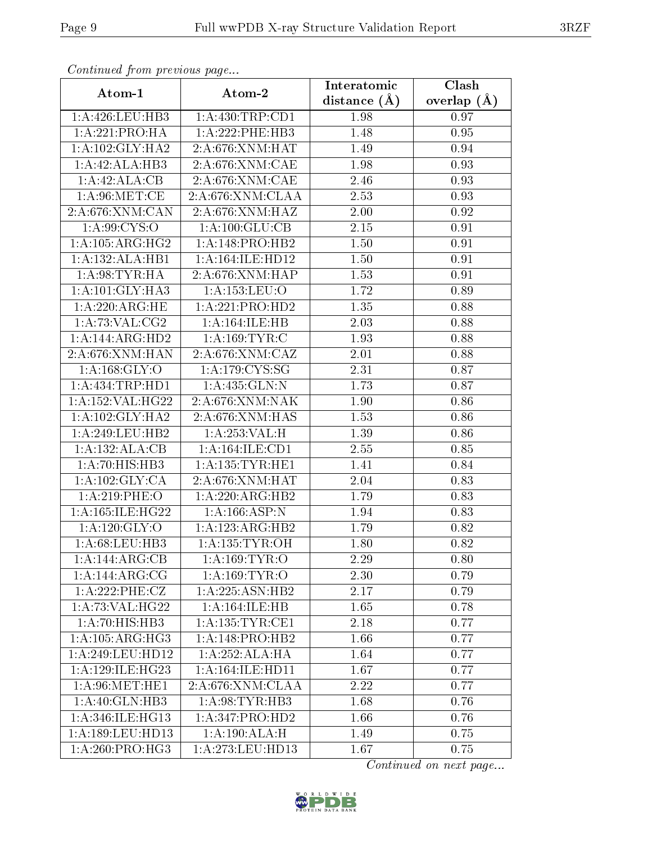| Continuata from previous page |                              | Interatomic    | Clash         |
|-------------------------------|------------------------------|----------------|---------------|
| Atom-1                        | Atom-2                       | distance $(A)$ | overlap $(A)$ |
| 1:A:426:LEU:HB3               | 1:A:430:TRP:CD1              | 1.98           | 0.97          |
| 1:A:221:PRO:HA                | 1:A:222:PHE:HB3              | 1.48           | 0.95          |
| 1: A: 102: GLY: HA2           | 2:A:676:XNM:HAT              | 1.49           | 0.94          |
| 1:A:42:ALA:HB3                | 2: A:676: XNM:CAE            | 1.98           | 0.93          |
| 1:A:42:ALA:CB                 | 2:A:676:XNM:CAE              | 2.46           | 0.93          |
| 1: A:96:MET:CE                | 2:A:676:XNM:CLAA             | 2.53           | 0.93          |
| 2: A:676:XNM:CAN              | 2:A:676:XNM:HAZ              | 2.00           | 0.92          |
| 1: A:99: CYS:O                | 1: A: 100: GLU: CB           | 2.15           | 0.91          |
| 1:A:105:ARG:HG2               | 1:A:148:PRO:HB2              | 1.50           | 0.91          |
| 1:A:132:ALA:HB1               | 1: A:164: ILE: HD12          | 1.50           | 0.91          |
| 1:A:98:TYR:HA                 | 2:A:676:XNM:HAP              | 1.53           | 0.91          |
| 1: A:101: GLY: HA3            | 1:A:153:LEU:O                | 1.72           | 0.89          |
| 1: A:220:ARG:HE               | 1:A:221:PRO:HD2              | 1.35           | 0.88          |
| 1: A:73: VAL:CG2              | 1:A:164:ILE:HB               | 2.03           | 0.88          |
| 1:A:144:ARG:HD2               | 1: A: 169: TYR: C            | 1.93           | 0.88          |
| 2:A:676:XNM:HAN               | 2:A:676:XNM:CAZ              | 2.01           | 0.88          |
| 1: A: 168: GLY: O             | 1: A:179: CYS:SG             | 2.31           | 0.87          |
| 1:A:434:TRP:HD1               | $1: A:435: GLN:\overline{N}$ | 1.73           | 0.87          |
| 1:A:152:VAL:HG22              | 2:A:676:XNM:NAK              | 1.90           | 0.86          |
| 1: A: 102: GLY: HA2           | 2: A:676:XNM:HAS             | 1.53           | 0.86          |
| 1: A:249:LEU:HB2              | 1:A:253:VAL:H                | 1.39           | 0.86          |
| 1:A:132:ALA:CB                | 1: A: 164: ILE: CD1          | 2.55           | 0.85          |
| 1:A:70:HIS:HB3                | 1: A: 135: TYR: HE1          | 1.41           | 0.84          |
| 1: A: 102: GLY: CA            | 2: A:676:XNM:HAT             | 2.04           | 0.83          |
| 1:A:219:PHE:O                 | 1:A:220:ARG:HB2              | 1.79           | 0.83          |
| 1:A:165:ILE:HG22              | 1: A: 166: ASP:N             | 1.94           | 0.83          |
| 1:A:120:GLY:O                 | 1:A:123:ARG:HB2              | 1.79           | 0.82          |
| 1: A:68: LEU:HB3              | 1: A: 135: TYR: OH           | 1.80           | 0.82          |
| 1:A:144:ARG:CB                | 1:A:169:TYR:O                | 2.29           | 0.80          |
| 1:A:144:ARG:CG                | 1:A:169:TYR:O                | 2.30           | 0.79          |
| 1:A:222:PHE:CZ                | 1:A:225:ASN:HB2              | 2.17           | 0.79          |
| 1: A:73: VAL:HG22             | 1:A:164:ILE:HB               | 1.65           | 0.78          |
| 1:A:70:HIS:HB3                | 1: A: 135: TYR: CE1          | 2.18           | 0.77          |
| 1: A: 105: ARG: HG3           | 1:A:148:PRO:HB2              | 1.66           | 0.77          |
| 1:A:249:LEU:HD12              | 1:A:252:ALA:HA               | 1.64           | 0.77          |
| 1:A:129:ILE:HG23              | 1: A: 164: ILE: HD11         | 1.67           | 0.77          |
| 1: A:96: MET:HE1              | 2:A:676:XNM:CLAA             | 2.22           | 0.77          |
| 1:A:40:GLN:HB3                | 1: A:98: TYR: HB3            | 1.68           | 0.76          |
| 1: A:346: ILE: HG13           | 1:A:347:PRO:HD2              | 1.66           | 0.76          |
| 1: A: 189: LEU: HD13          | 1: A: 190: ALA:H             | 1.49           | 0.75          |
| 1: A:260: PRO:HG3             | 1:A:273:LEU:HD13             | 1.67           | 0.75          |

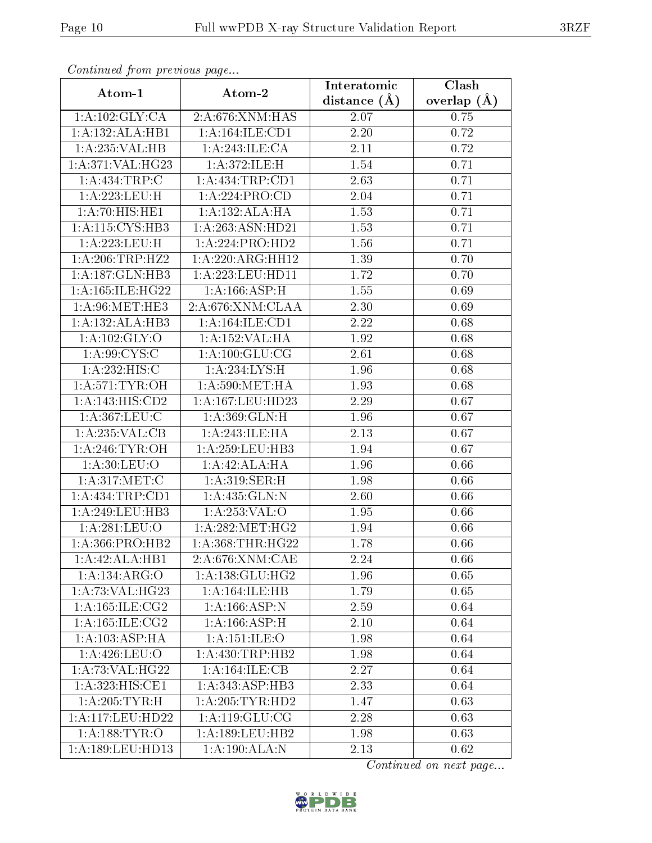| Continuea from previous page |                                   | Interatomic       | Clash         |
|------------------------------|-----------------------------------|-------------------|---------------|
| Atom-1                       | Atom-2                            | distance $(A)$    | overlap $(A)$ |
| 1:A:102:GLY:CA               | 2:A:676:XNM:HAS                   | 2.07              | 0.75          |
| 1:A:132:ALA:HB1              | 1:A:164:ILE:CD1                   | $2.20\,$          | 0.72          |
| 1:A:235:VAL:HB               | 1: A:243: ILE: CA                 | 2.11              | 0.72          |
| 1:A:371:VAL:H G23            | 1: A:372: ILE:H                   | 1.54              | 0.71          |
| 1:A:434:TRP:C                | 1: A: 434: TRP: CD1               | 2.63              | 0.71          |
| 1:A:223:LEU:H                | 1:A:224:PRO:CD                    | 2.04              | 0.71          |
| 1:A:70:HIS:HE1               | 1:A:132:ALA:HA                    | 1.53              | 0.71          |
| 1: A:115: CYS:HB3            | 1:A:263:ASN:HD21                  | 1.53              | 0.71          |
| 1:A:223:LEU:H                | 1:A:224:PRO:HD2                   | 1.56              | 0.71          |
| 1: A:206:TRP:HZ2             | 1:A:220:ARG:HH12                  | 1.39              | 0.70          |
| 1:A:187:GLN:HB3              | 1:A:223:LEU:HD11                  | 1.72              | 0.70          |
| 1:A:165:ILE:HG22             | 1:A:166:ASP:H                     | 1.55              | 0.69          |
| 1: A:96:MET:HE3              | 2:A:676:XNM:CLAA                  | 2.30              | 0.69          |
| 1:A:132:ALA:HB3              | 1:A:164:ILE:CD1                   | $\overline{2.22}$ | 0.68          |
| 1: A: 102: GLY: O            | 1:A:152:VAL:HA                    | 1.92              | 0.68          |
| 1: A:99: CYS:C               | 1: A: 100: GLU: CG                | 2.61              | 0.68          |
| 1: A:232: HIS: C             | 1:A:234:LYS:H                     | 1.96              | 0.68          |
| 1: A:571:TYR:OH              | 1: A:590:MET:HA                   | 1.93              | 0.68          |
| 1:A:143:HIS:CD2              | 1:A:167:LEU:HD23                  | 2.29              | 0.67          |
| 1: A:367:LEU:C               | 1:A:369:GLN:H                     | 1.96              | 0.67          |
| 1:A:235:VAL:CB               | $1:A:\overline{243:ILE:HA}$       | 2.13              | 0.67          |
| 1: A:246: TYR:OH             | 1: A:259:LEU:HB3                  | 1.94              | 0.67          |
| 1: A:30: LEU:O               | 1:A:42:ALA:HA                     | 1.96              | 0.66          |
| 1: A:317:MET:C               | 1:A:319:SER:H                     | 1.98              | 0.66          |
| 1: A: 434: TRP: CD1          | 1:A:435:GLN:N                     | 2.60              | 0.66          |
| 1:A:249:LEU:HB3              | 1:A:253:VAL:O                     | 1.95              | 0.66          |
| 1:A:281:LEU:O                | 1: A:282:MET:HG2                  | 1.94              | 0.66          |
| 1: A: 366: PRO: HB2          | $1: A: 368: THR: \overline{HG22}$ | 1.78              | 0.66          |
| 1:A:42:ALA:HB1               | 2:A:676:XNM:CAE                   | 2.24              | 0.66          |
| 1:A:134:ARG:O                | 1: A: 138: GLU: HG2               | 1.96              | 0.65          |
| 1: A:73: VAL:HG23            | 1:A:164:ILE:HB                    | 1.79              | 0.65          |
| 1: A: 165: ILE: CG2          | 1: A:166: ASP: N                  | 2.59              | 0.64          |
| 1: A:165: ILE: CG2           | 1: A:166: ASP:H                   | 2.10              | 0.64          |
| 1:A:103:ASP:HA               | 1:A:151:ILE:O                     | 1.98              | 0.64          |
| 1: A:426:LEU:O               | 1: A: 430: TRP: HB2               | 1.98              | 0.64          |
| 1:A:73:VAL:HG22              | 1:A:164:ILE:CB                    | 2.27              | 0.64          |
| 1:A:323:HIS:CE1              | 1:A:343:ASP:HB3                   | 2.33              | 0.64          |
| 1:A:205:TYR:H                | 1: A:205: TYR: HD2                | 1.47              | 0.63          |
| 1:A:117:LEU:HD22             | 1: A: 119: GLU: CG                | 2.28              | 0.63          |
| 1: A: 188: TYR: O            | 1: A: 189: LEU: HB2               | 1.98              | 0.63          |
| 1: A: 189: LEU: HD13         | 1:A:190:ALA:N                     | 2.13              | 0.62          |

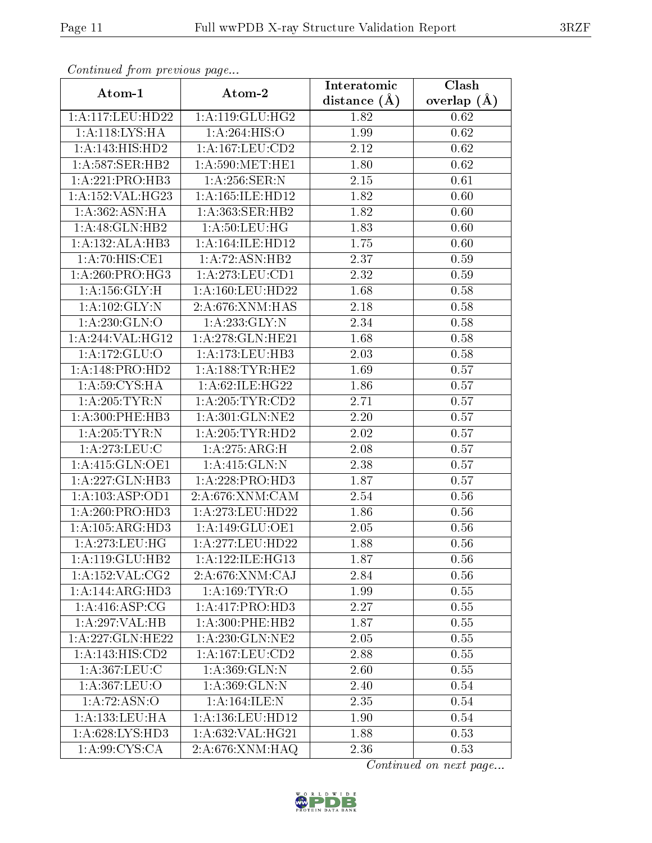| Continuea from pretious page       |                      | Interatomic      | Clash         |
|------------------------------------|----------------------|------------------|---------------|
| Atom-1                             | Atom-2               | distance $(\AA)$ | overlap $(A)$ |
| 1:A:117:LEU:HD22                   | 1:A:119:GLU:HG2      | 1.82             | 0.62          |
| 1:A:118:LYS:HA                     | 1:A:264:HIS:O        | 1.99             | 0.62          |
| 1:A:143:HIS:HD2                    | $1:$ A:167:LEU:CD2   | 2.12             | 0.62          |
| 1: A:587: SER: HB2                 | 1: A:590:MET:HE1     | 1.80             | 0.62          |
| 1:A:221:PRO:HB3                    | 1:A:256:SER:N        | $2.15\,$         | 0.61          |
| 1:A:152:VAL:HG23                   | 1: A: 165: ILE: HD12 | 1.82             | 0.60          |
| 1:A:362:ASN:HA                     | 1:A:363:SER:HB2      | 1.82             | 0.60          |
| 1: A:48: GLN:HB2                   | 1: A:50: LEU: HG     | 1.83             | 0.60          |
| 1:A:132:ALA:HB3                    | 1: A: 164: ILE: HD12 | 1.75             | 0.60          |
| 1:A:70:HIS:CE1                     | 1:A:72:ASN:HB2       | 2.37             | 0.59          |
| $1:A:260:PRO:\overline{HG3}$       | 1: A:273:LEU:CD1     | 2.32             | 0.59          |
| 1: A: 156: GLY: H                  | 1:A:160:LEU:HD22     | 1.68             | 0.58          |
| 1:A:102:GLY:N                      | 2:A:676:XNM:HAS      | 2.18             | 0.58          |
| 1:A:230:GLN:O                      | 1:A:233:GLY:N        | 2.34             | 0.58          |
| 1:A:244:VAL:HG12                   | 1:A:278:GLN:HE21     | 1.68             | 0.58          |
| 1:A:172:GLU:O                      | 1:A:173:LEU:HB3      | 2.03             | 0.58          |
| 1:A:148:PRO:HD2                    | 1: A: 188: TYR: HE2  | 1.69             | 0.57          |
| 1: A:59: CYS:HA                    | 1:A:62:ILE:HG22      | 1.86             | 0.57          |
| 1: A:205:TYR:N                     | 1: A:205:TYR:CD2     | 2.71             | 0.57          |
| 1: A:300: PHE:HB3                  | 1: A:301: GLN: NE2   | 2.20             | 0.57          |
| $1: A:205:\overline{\text{TYR}:N}$ | 1: A:205:TYR:HD2     | 2.02             | 0.57          |
| 1: A:273:LEU:C                     | 1: A:275: ARG:H      | 2.08             | 0.57          |
| 1:A:415:GLN:OE1                    | 1: A:415: GLN:N      | 2.38             | 0.57          |
| 1:A:227:GLN:HB3                    | 1:A:228:PRO:HD3      | 1.87             | 0.57          |
| 1:A:103:ASP:OD1                    | 2:A:676:XNM:CAM      | 2.54             | 0.56          |
| 1:A:260:PRO:HD3                    | $1:$ A:273:LEU:HD22  | 1.86             | 0.56          |
| 1: A: 105: ARG: HD3                | 1: A: 149: GLU: OE1  | 2.05             | 0.56          |
| 1: A:273:LEU:HG                    | 1:A:277:LEU:HD22     | 1.88             | 0.56          |
| 1:A:119:GLU:HB2                    | 1:A:122:ILE:HG13     | 1.87             | 0.56          |
| 1:A:152:VAL:CG2                    | 2:A:676:XNM:CAJ      | 2.84             | 0.56          |
| 1:A:144:ARG:HD3                    | 1: A:169: TYR:O      | 1.99             | 0.55          |
| 1: A:416: ASP:CG                   | 1:A:417:PRO:HD3      | 2.27             | 0.55          |
| 1:A:297:VAL:HB                     | 1:A:300:PHE:HB2      | 1.87             | 0.55          |
| 1: A:227: GLN: HE22                | 1:A:230:GLN:NE2      | 2.05             | 0.55          |
| 1:A:143:HIS:CD2                    | 1: A: 167: LEU: CD2  | 2.88             | 0.55          |
| 1: A:367:LEU:C                     | 1:A:369:GLN:N        | 2.60             | 0.55          |
| 1:A:367:LEU:O                      | 1: A:369: GLN:N      | 2.40             | 0.54          |
| 1: A:72: ASN:O                     | 1: A: 164: ILE:N     | 2.35             | 0.54          |
| 1: A: 133: LEU: HA                 | 1: A: 136: LEU: HD12 | 1.90             | 0.54          |
| 1: A:628: LYS: HD3                 | 1:A:632:VAL:HG21     | 1.88             | 0.53          |
| 1: A:99: CYS:CA                    | 2:A:676:XNM:HAQ      | 2.36             | 0.53          |

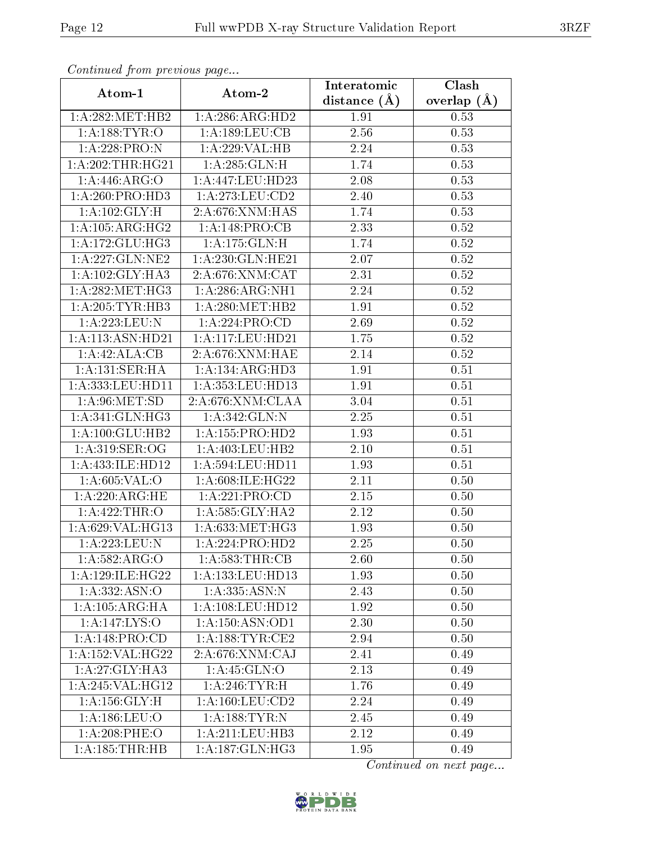| Continuea from previous page |                                    | Interatomic    | Clash         |
|------------------------------|------------------------------------|----------------|---------------|
| Atom-1                       | Atom-2                             | distance $(A)$ | overlap $(A)$ |
| 1: A:282:MET:HB2             | 1:A:286:ARG:HD2                    | 1.91           | 0.53          |
| 1: A: 188: TYR: O            | 1:A:189:LEU:CB                     | 2.56           | 0.53          |
| 1:A:228:PRO:N                | 1:A:229:VAL:HB                     | 2.24           | 0.53          |
| 1:A:202:THR:HG21             | 1:A:285:GLN:H                      | 1.74           | 0.53          |
| 1:A:446:ARG:O                | 1: A: 447: LEU: HD23               | 2.08           | 0.53          |
| 1:A:260:PRO:HD3              | 1: A:273:LEU:CD2                   | 2.40           | 0.53          |
| 1:A:102:GLY:H                | 2:A:676:XNM:HAS                    | 1.74           | 0.53          |
| 1: A: 105: ARG: HG2          | 1:A:148:PRO:CB                     | 2.33           | 0.52          |
| 1: A:172: GLU: HG3           | 1:A:175:GLN:H                      | 1.74           | 0.52          |
| 1: A: 227: GLN: NE2          | 1:A:230:GLN:HE21                   | 2.07           | 0.52          |
| 1:A:102:GLY:HA3              | 2: A:676:XNM:CAT                   | 2.31           | 0.52          |
| 1: A:282:MET:HG3             | 1:A:286:ARG:NH1                    | 2.24           | 0.52          |
| 1:A:205:TYR:HB3              | 1: A:280:MET:HB2                   | 1.91           | 0.52          |
| 1:A:223:LEU:N                | 1:A:224:PRO:CD                     | 2.69           | 0.52          |
| 1: A:113: ASN: HD21          | 1:A:117:LEU:HD21                   | 1.75           | 0.52          |
| 1:A:42:ALA:CB                | 2: A:676:XNM:HAE                   | 2.14           | 0.52          |
| 1:A:131:SER:HA               | 1:A:134:ARG:HD3                    | 1.91           | 0.51          |
| 1:A:333:LEU:HD11             | 1:A:353:LEU:HD13                   | 1.91           | 0.51          |
| 1: A:96:MET:SD               | 2:A:676:XNM:CLAA                   | 3.04           | 0.51          |
| 1:A:341:GLN:HG3              | 1:A:342:GLN:N                      | 2.25           | 0.51          |
| 1: A:100: GLU:HB2            | 1: A: 155: PRO: HD2                | 1.93           | 0.51          |
| 1: A:319: SER:OG             | 1:A:403:LEU:HB2                    | 2.10           | 0.51          |
| 1:A:433:ILE:HD12             | 1: A: 594: LEU: HD11               | 1.93           | 0.51          |
| 1: A:605: VAL:O              | 1:A:608:ILE:HG22                   | 2.11           | 0.50          |
| 1: A:220:ARG:HE              | 1: A:221: PRO:CD                   | 2.15           | 0.50          |
| 1:A:422:THR:O                | 1: A:585: GLY: HA2                 | 2.12           | 0.50          |
| 1:A:629:VAL:HG13             | 1: A: 633: MET:HG3                 | 1.93           | 0.50          |
| 1:A:223:LEU:N                | 1:A:224:PRO:HD2                    | 2.25           | 0.50          |
| $1: A:582: \overline{ARG:O}$ | 1: A:583:THR:CB                    | 2.60           | 0.50          |
| 1: A:129: ILE: HG22          | 1:A:133:LEU:HD13                   | 1.93           | 0.50          |
| 1: A: 332: ASN: O            | 1:A:335:ASN:N                      | 2.43           | 0.50          |
| 1:A:105:ARG:HA               | 1: A: 108: LEU: HD12               | 1.92           | 0.50          |
| 1: A:147: LYS:O              | 1: A: 150: ASN: OD1                | 2.30           | 0.50          |
| 1:A:148:PRO:CD               | 1: A: 188: TYR: CE2                | 2.94           | 0.50          |
| 1:A:152:VAL:HG22             | 2:A:676:XNM:CAJ                    | 2.41           | 0.49          |
| 1: A:27: GLY: HA3            | 1: A: 45: GLN:O                    | 2.13           | 0.49          |
| 1:A:245:VAL:HG12             | 1: A:246:TYR:H                     | 1.76           | 0.49          |
| 1: A: 156: GLY: H            | $1: A: 160: \boxed{\text{EU}:CD2}$ | 2.24           | 0.49          |
| 1: A: 186: LEU: O            | 1:A:188:TYR:N                      | 2.45           | 0.49          |
| 1:A:208:PHE:O                | 1:A:211:LEU:HB3                    | 2.12           | 0.49          |
| 1: A: 185: THR: HB           | 1: A: 187: GLN: HG3                | 1.95           | 0.49          |

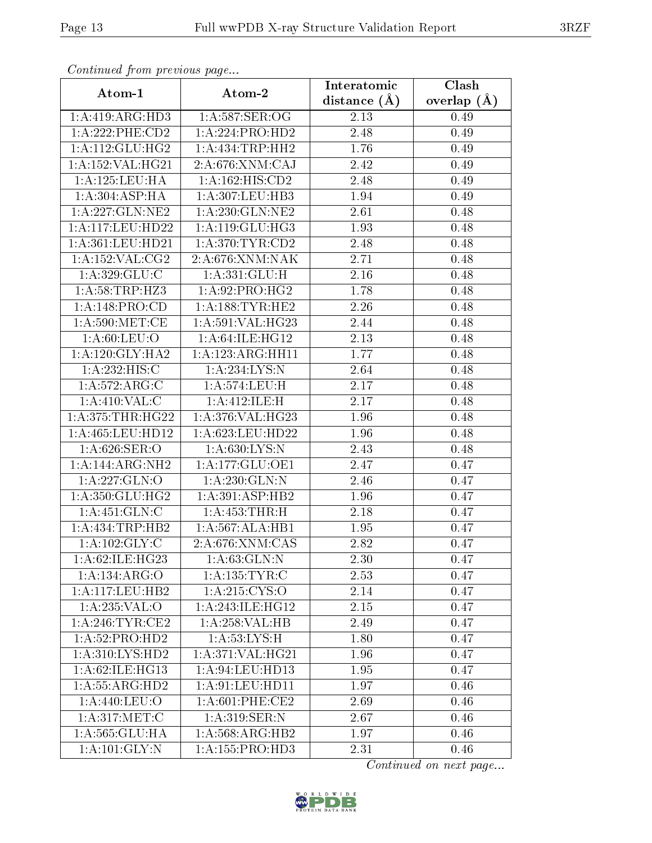| Continual from precious page       |                              | Interatomic       | Clash         |
|------------------------------------|------------------------------|-------------------|---------------|
| Atom-1                             | Atom-2                       | distance $(A)$    | overlap $(A)$ |
| 1:A:419:ARG:HD3                    | 1: A:587: SER:OG             | 2.13              | 0.49          |
| 1:A:222:PHE:CD2                    | 1:A:224:PRO:HD2              | 2.48              | 0.49          |
| 1: A:112: GLU: HG2                 | 1:A:434:TRP:HH2              | 1.76              | 0.49          |
| 1: A: 152: VAL: HG21               | $2:A:676:XNM:\overline{CAJ}$ | 2.42              | 0.49          |
| 1:A:125:LEU:HA                     | 1: A: 162: HIS: CD2          | 2.48              | 0.49          |
| 1: A:304: ASP:HA                   | 1:A:307:LEU:HB3              | 1.94              | 0.49          |
| 1:A:227:GLN:NE2                    | 1:A:230:GLN:NE2              | $\overline{2.61}$ | 0.48          |
| 1: A:117: LEU: HD22                | 1: A:119: GLU:HG3            | 1.93              | 0.48          |
| 1:A:361:LEU:HD21                   | 1: A:370: TYR: CD2           | 2.48              | 0.48          |
| 1: A: 152: VAL: CG2                | 2:A:676:XNM:NAK              | 2.71              | 0.48          |
| 1: A:329: GLU: C                   | 1: A:331: GLU: H             | 2.16              | 0.48          |
| 1:A:58:TRP:HZ3                     | 1:A:92:PRO:HG2               | 1.78              | 0.48          |
| 1:A:148:PRO:CD                     | 1: A: 188: TYR: HE2          | 2.26              | 0.48          |
| 1: A:590:MET:CE                    | 1: A:591: VAL:HG23           | 2.44              | 0.48          |
| 1: A:60: LEU:O                     | 1:A:64:ILE:HG12              | 2.13              | 0.48          |
| 1: A:120: GLY:HA2                  | 1:A:123:ARG:HH11             | 1.77              | 0.48          |
| 1:A:232:HIS:C                      | 1:A:234:LYS:N                | 2.64              | 0.48          |
| 1: A:572:ARG:C                     | 1:A:574:LEU:H                | 2.17              | 0.48          |
| $1: A:410:\overline{\text{VAL}:C}$ | 1:A:412:ILE:H                | 2.17              | 0.48          |
| 1: A:375:THR:HG22                  | 1:A:376:VAL:HG23             | 1.96              | 0.48          |
| 1: A:465:LEU:HD12                  | 1:A:623:LEU:HD22             | 1.96              | 0.48          |
| 1: A:626: SER:O                    | 1: A:630:LYS:N               | 2.43              | 0.48          |
| 1:A:144:ARG:NH2                    | 1:A:177:GLU:OE1              | 2.47              | 0.47          |
| 1:A:227:GLN:O                      | 1:A:230:GLN:N                | 2.46              | 0.47          |
| 1: A:350: GLU:HG2                  | 1:A:391:ASP:HB2              | 1.96              | 0.47          |
| 1: A: 451: GLN: C                  | 1:A:453:THR:H                | 2.18              | 0.47          |
| 1: A: 434: TRP: HB2                | 1:A:567:ALA:HB1              | 1.95              | 0.47          |
| 1: A: 102: GLY: C                  | $2:A:676:X\overline{NM:CAS}$ | 2.82              | 0.47          |
| 1:A:62:ILE:HG23                    | 1: A:63: GLN:N               | 2.30              | 0.47          |
| 1:A:134:ARG:O                      | 1:A:135:TYR:C                | 2.53              | 0.47          |
| 1:A:117:LEU:HB2                    | 1: A:215: CYS:O              | 2.14              | 0.47          |
| 1:A:235:VAL:O                      | 1:A:243:ILE:HG12             | 2.15              | 0.47          |
| 1: A:246:TYR:CE2                   | 1:A:258:VAL:HB               | 2.49              | 0.47          |
| 1:A:52:PRO:HD2                     | 1: A: 53: LYS:H              | 1.80              | 0.47          |
| $1:A:310:LY\overline{S:HD2}$       | 1: A:371: VAL:HG21           | 1.96              | 0.47          |
| 1:A:62:ILE:HG13                    | 1:A:94:LEU:HD13              | 1.95              | 0.47          |
| 1: A: 55: ARG: HD2                 | 1: A:91: LEU: HD11           | 1.97              | 0.46          |
| 1: A:440: LEU:O                    | 1:A:601:PHE:CE2              | 2.69              | 0.46          |
| 1: A:317: MET:C                    | 1:A:319:SER:N                | 2.67              | 0.46          |
| 1: A: 565: GLU: HA                 | 1:A:568:ARG:HB2              | 1.97              | 0.46          |
| $1: A:101: \overline{GLY:N}$       | 1: A: 155: PRO: HD3          | 2.31              | 0.46          |

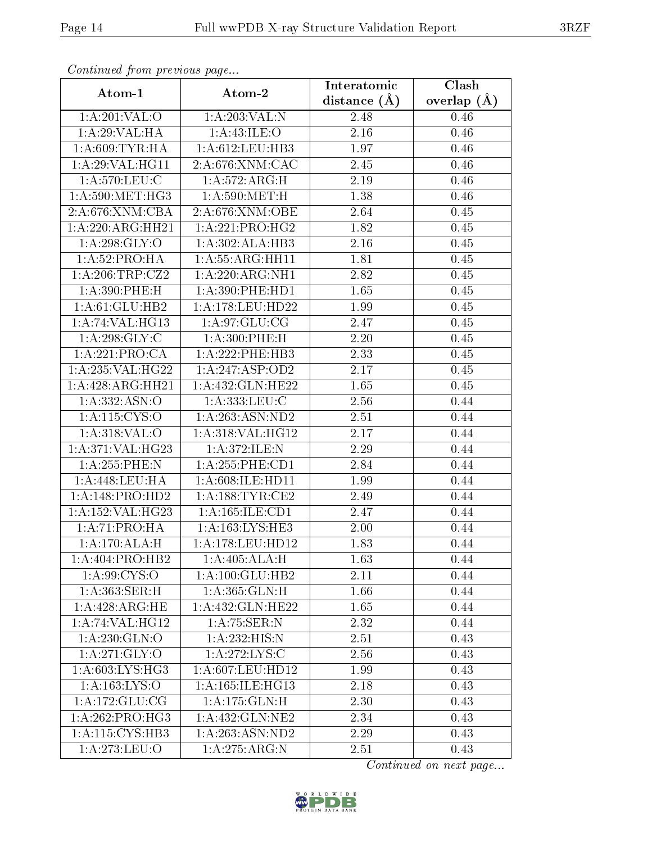| Continuou jiom protivus pago         |                      | Interatomic       | $\overline{\text{Clash}}$ |
|--------------------------------------|----------------------|-------------------|---------------------------|
| Atom-1                               | Atom-2               | distance $(A)$    | overlap $(A)$             |
| 1: A:201:VAL:O                       | 1:A:203:VAL:N        | 2.48              | 0.46                      |
| 1:A:29:VAL:HA                        | 1:A:43:ILE:O         | $2.16\,$          | 0.46                      |
| 1: A:609: TYR: HA                    | 1: A:612:LEU:HB3     | 1.97              | 0.46                      |
| 1:A:29:VAL:HG11                      | 2:A:676:XNM:CAC      | 2.45              | 0.46                      |
| 1: A:570: LEU: C                     | 1: A:572: ARG:H      | 2.19              | 0.46                      |
| 1: A:590:MET:HG3                     | 1: A:590:MET:H       | 1.38              | 0.46                      |
| 2:A:676:XNM:CBA                      | 2:A:676:XNM:OBE      | 2.64              | 0.45                      |
| 1:A:220:ARG:HH21                     | 1:A:221:PRO:HG2      | 1.82              | 0.45                      |
| 1: A:298: GLY:O                      | 1:A:302:ALA:HB3      | 2.16              | 0.45                      |
| 1: A:52: PRO:HA                      | 1: A: 55: ARG: HH11  | 1.81              | 0.45                      |
| 1: A:206:TRP:CZ2                     | 1:A:220:ARG:NH1      | 2.82              | 0.45                      |
| 1: A:390: PHE:H                      | 1: A:390: PHE: HD1   | 1.65              | 0.45                      |
| 1: A:61: GLU:HB2                     | 1:A:178:LEU:HD22     | 1.99              | 0.45                      |
| 1:A:74:VAL:HG13                      | 1: A:97: GLU:CG      | 2.47              | 0.45                      |
| 1: A:298: GLY: C                     | 1:A:300:PHE:H        | 2.20              | 0.45                      |
| 1:A:221:PRO:CA                       | 1:A:222:PHE:HB3      | 2.33              | 0.45                      |
| 1:A:235:VAL:HG22                     | 1:A:247:ASP:OD2      | $\overline{2.17}$ | 0.45                      |
| 1:A:428:ARG:HH21                     | 1:A:432:GLN:HE22     | 1.65              | 0.45                      |
| 1:A:332:ASN:O                        | 1:A:333:LEU:C        | 2.56              | 0.44                      |
| 1: A: 115: CYS: 0                    | 1:A:263:ASN:ND2      | 2.51              | 0.44                      |
| 1: A:318: VAL:O                      | 1:A:318:VAL:HG12     | 2.17              | 0.44                      |
| 1:A:371:VAL:HG23                     | 1:A:372:ILE:N        | 2.29              | 0.44                      |
| 1: A: 255: PHE: N                    | $1: A:255:$ PHE:CD1  | 2.84              | 0.44                      |
| 1: A:448:LEU:HA                      | 1: A:608: ILE: HD11  | 1.99              | 0.44                      |
| 1:A:148:PRO:HD2                      | 1: A: 188: TYR: CE2  | 2.49              | 0.44                      |
| 1:A:152:VAL:HG23                     | 1: A: 165: ILE: CD1  | 2.47              | 0.44                      |
| 1:A:71:PRO:HA                        | 1: A: 163: LYS: HE3  | 2.00              | 0.44                      |
| 1:A:170:ALA:H                        | 1:A:178:LEU:HD12     | 1.83              | 0.44                      |
| $1:A:404:PR\overline{O:HB2}$         | 1:A:405:ALA:H        | 1.63              | 0.44                      |
| 1: A:99: CYS:O                       | 1: A: 100: GLU: HB2  | 2.11              | 0.44                      |
| 1:A:363:SER:H                        | 1:A:365:GLN:H        | 1.66              | 0.44                      |
| $1:A:428:ARG:\overline{HE}$          | 1:A:432:GLN:HE22     | 1.65              | 0.44                      |
| 1:A:74:VAL:HG12                      | 1: A:75: SER: N      | 2.32              | 0.44                      |
| 1: A:230: GLN:O                      | 1: A:232: HIS:N      | 2.51              | 0.43                      |
| 1:A:271:GLY:O                        | 1:A:272:LYS:C        | 2.56              | 0.43                      |
| 1: A:603: LYS: HG3                   | 1:A:607:LEU:HD12     | 1.99              | 0.43                      |
| 1: A: 163: LYS: O                    | 1: A: 165: ILE: HG13 | 2.18              | 0.43                      |
| 1: A:172: GLU:CG                     | 1:A:175:GLN:H        | 2.30              | 0.43                      |
| 1: A:262:PRO:HG3                     | 1:A:432:GLN:NE2      | 2.34              | 0.43                      |
| 1:A:115:CYS:HB3                      | 1:A:263:ASN:ND2      | 2.29              | 0.43                      |
| $1: A:273:\overline{\textrm{LEU:O}}$ | 1: A:275: ARG: N     | 2.51              | 0.43                      |

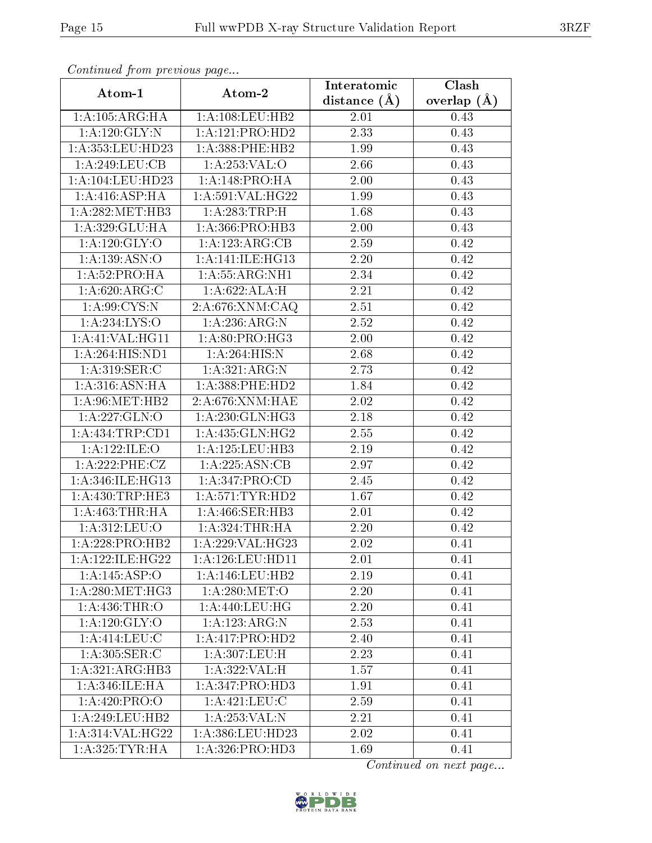| Continually from previous page |                             | Interatomic      | $\overline{\text{Clash}}$ |
|--------------------------------|-----------------------------|------------------|---------------------------|
| Atom-1                         | Atom-2                      | distance $(\AA)$ | overlap $(\AA)$           |
| 1: A: 105: ARG: HA             | 1:A:108:LEU:HB2             | 2.01             | 0.43                      |
| 1: A:120: GLY:N                | 1:A:121:PRO:HD2             | 2.33             | 0.43                      |
| $1: A: 353:$ LEU:HD23          | 1:A:388:PHE:HB2             | 1.99             | 0.43                      |
| 1: A:249:LEU:CB                | 1:A:253:VAL:O               | 2.66             | 0.43                      |
| 1:A:104:LEU:HD23               | 1:A:148:PRO:HA              | 2.00             | 0.43                      |
| 1: A:416: ASP:HA               | 1:A:591:VAL:HG22            | 1.99             | 0.43                      |
| 1:A:282:MET:HB3                | 1: A:283:TRP:H              | 1.68             | 0.43                      |
| 1:A:329:GLU:HA                 | 1: A: 366: PRO: HB3         | 2.00             | 0.43                      |
| 1:A:120:GLY:O                  | 1:A:123:ARG:CB              | 2.59             | 0.42                      |
| 1:A:139:ASN:O                  | 1: A:141: ILE: HG13         | 2.20             | 0.42                      |
| 1:A:52:PRO:HA                  | 1: A: 55: ARG: NH1          | 2.34             | 0.42                      |
| 1:A:620:ARG:C                  | 1:A:622:ALA:H               | 2.21             | 0.42                      |
| 1: A:99: CYS:N                 | 2:A:676:XNM:CAQ             | 2.51             | 0.42                      |
| 1:A:234:LYS:O                  | 1: A:236:ARG:N              | 2.52             | 0.42                      |
| 1:A:41:VAL:HG11                | 1:A:80:PRO:HG3              | 2.00             | 0.42                      |
| 1:A:264:HIS:ND1                | 1: A:264: HIS:N             | 2.68             | 0.42                      |
| 1: A:319: SER:C                | 1:A:321:ARG:N               | 2.73             | 0.42                      |
| 1: A:316: ASN: HA              | 1: A: 388: PHE: HD2         | 1.84             | 0.42                      |
| 1: A:96:MET:HB2                | 2:A:676:XNM:HAE             | $2.02\,$         | 0.42                      |
| 1:A:227:GLN:O                  | 1: A:230: GLN: HG3          | 2.18             | 0.42                      |
| 1: A: 434: TRP: CD1            | 1: A: 435: GLN: HG2         | 2.55             | 0.42                      |
| 1:A:122:ILE:O                  | 1: A: 125: LEU: HB3         | 2.19             | 0.42                      |
| 1:A:222:PHE:CZ                 | 1:A:225:ASN:CB              | 2.97             | 0.42                      |
| 1:A:346:ILE:HG13               | 1: A:347: PRO:CD            | 2.45             | 0.42                      |
| 1: A: 430: TRP: HE3            | 1: A:571:TYR:HD2            | 1.67             | 0.42                      |
| 1:A:463:THR:HA                 | 1:A:466:SER:HB3             | 2.01             | 0.42                      |
| 1:A:312:LEU:O                  | 1: A:324:THR:HA             | 2.20             | 0.42                      |
| 1:A:228:PRO:HB2                | 1:A:229:VAL:HG23            | 2.02             | 0.41                      |
| 1:A:122:ILE:HG22               | 1:A:126:LEU:HD11            | 2.01             | 0.41                      |
| 1:A:145:ASP:O                  | 1: A:146:LEU:HB2            | 2.19             | 0.41                      |
| 1: A:280:MET:HG3               | 1: A:280: MET:O             | 2.20             | 0.41                      |
| 1:A:436:THR:O                  | 1: A:440:LEU:HG             | 2.20             | 0.41                      |
| 1:A:120:GLY:O                  | 1:A:123:ARG:N               | $2.53\,$         | 0.41                      |
| 1: A:414:LEU:C                 | 1:A:417:PRO:HD2             | 2.40             | 0.41                      |
| 1:A:305:SER:C                  | 1:A:307:LEU:H               | 2.23             | 0.41                      |
| 1:A:321:ARG:HB3                | 1:A:322:VAL:H               | 1.57             | 0.41                      |
| 1: A:346: ILE: HA              | 1:A:347:PRO:HD3             | 1.91             | 0.41                      |
| 1: A:420: PRO:O                | 1: A:421:LEU: C             | 2.59             | 0.41                      |
| 1: A:249:LEU:HB2               | 1:A:253:VAL:N               | 2.21             | 0.41                      |
| 1:A:314:VAL:HG22               | 1: A: 386: LEU: HD23        | 2.02             | 0.41                      |
| 1: A:325: TYR: HA              | 1:A:326:PRO:H <sub>D3</sub> | 1.69             | 0.41                      |

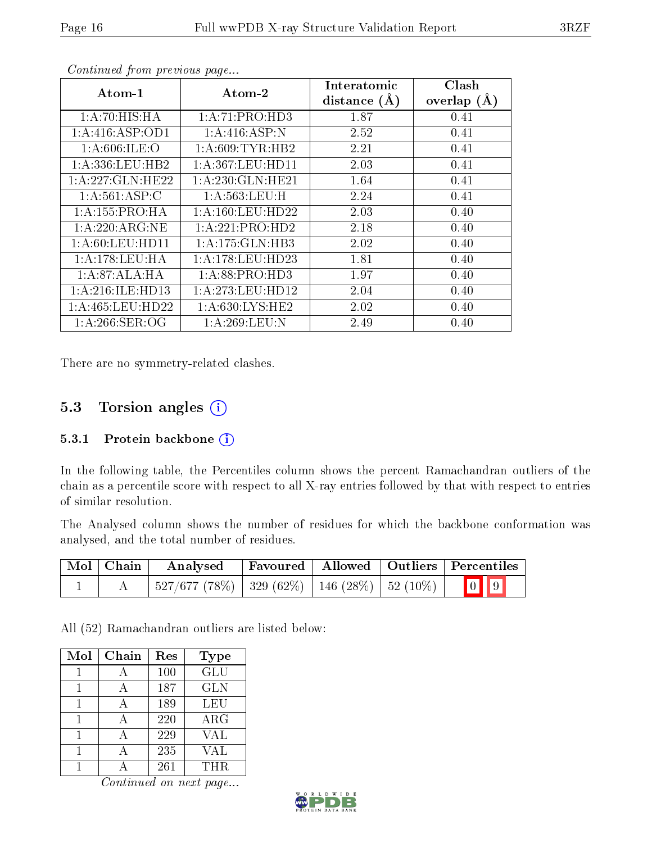| Atom-1              | Atom-2               | Interatomic<br>distance $(A)$ | Clash<br>overlap $(A)$ |
|---------------------|----------------------|-------------------------------|------------------------|
| 1:A:70:HIS:HA       | 1:A:71:PRO:HD3       | 1.87                          | 0.41                   |
| 1:A:416:ASP:OD1     | 1:A:416:ASP:N        | 2.52                          | 0.41                   |
| 1:A:606:ILE:O       | 1: A:609:TYR:HB2     | 2.21                          | 0.41                   |
| 1: A: 336: LEU: HB2 | 1: A: 367: LEU: HD11 | 2.03                          | 0.41                   |
| 1: A:227: GLN:HE22  | 1:A:230:GLN:HE21     | 1.64                          | 0.41                   |
| 1: A:561:ASP:C      | 1: A: 563: LEU:H     | 2.24                          | 0.41                   |
| 1: A: 155: PRO: HA  | 1: A: 160: LEU: HD22 | 2.03                          | 0.40                   |
| 1: A:220: ARG:NE    | 1:A:221:PRO:HD2      | 2.18                          | 0.40                   |
| 1: A:60: LEU:HD11   | 1: A:175: GLN:HB3    | 2.02                          | 0.40                   |
| 1: A:178:LEU:HA     | 1: A:178:LEU:HD23    | 1.81                          | 0.40                   |
| 1:A:87:ALA:HA       | 1:A:88:PRO:HD3       | 1.97                          | 0.40                   |
| 1:A:216:ILE:HD13    | 1: A:273:LEU:HD12    | 2.04                          | 0.40                   |
| 1: A:465:LEU:HD22   | 1:A:630:LYS:HE2      | 2.02                          | 0.40                   |
| 1: A:266:SER:OG     | 1: A:269:LEU:N       | 2.49                          | 0.40                   |

There are no symmetry-related clashes.

### 5.3 Torsion angles (i)

#### 5.3.1 Protein backbone  $(i)$

In the following table, the Percentiles column shows the percent Ramachandran outliers of the chain as a percentile score with respect to all X-ray entries followed by that with respect to entries of similar resolution.

The Analysed column shows the number of residues for which the backbone conformation was analysed, and the total number of residues.

| Mol   Chain | <b>Analysed</b>                                                  |  | Favoured   Allowed   Outliers   Percentiles |
|-------------|------------------------------------------------------------------|--|---------------------------------------------|
|             | $^{+}$ 527/677 (78%)   329 (62%)   146 (28%)   52 (10%)   $^{-}$ |  | $\boxed{0}$ $\boxed{9}$                     |

All (52) Ramachandran outliers are listed below:

| Mol | Chain | Res | <b>Type</b> |
|-----|-------|-----|-------------|
|     |       | 100 | <b>GLU</b>  |
|     |       | 187 | <b>GLN</b>  |
|     |       | 189 | LEU         |
|     |       | 220 | $\rm{ARG}$  |
|     |       | 229 | <b>VAL</b>  |
|     |       | 235 | VAL         |
|     |       | 261 | THR.        |

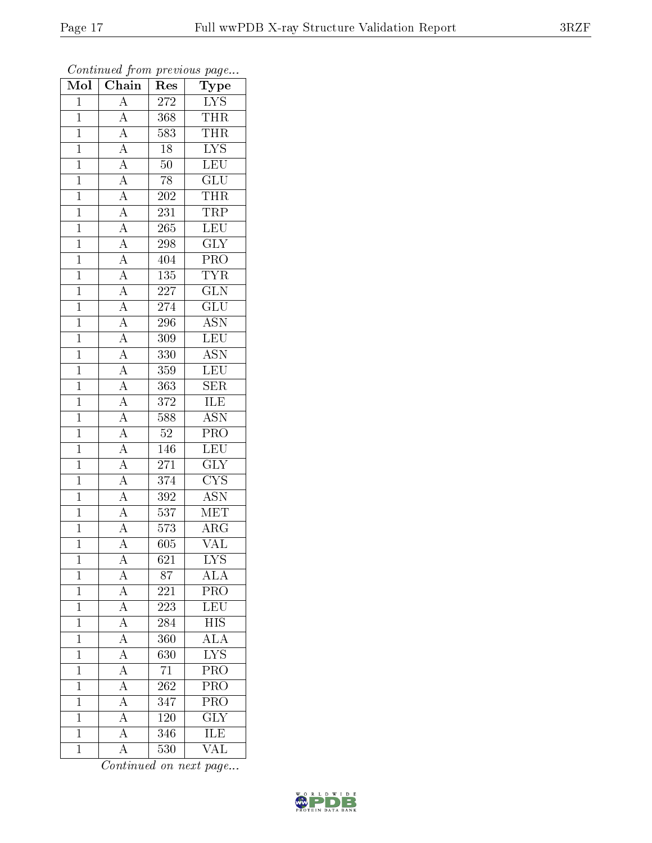| Mol            | $\overline{\text{Chain}}$                                                                                                                                                                                                                                                                                           | Res              | $\mathrm{\bar{Ty}pe}$                      |
|----------------|---------------------------------------------------------------------------------------------------------------------------------------------------------------------------------------------------------------------------------------------------------------------------------------------------------------------|------------------|--------------------------------------------|
| $\mathbf{1}$   | $\mathbf{A}$                                                                                                                                                                                                                                                                                                        | 272              | ${\rm LYS}$                                |
| $\mathbf{1}$   | $\overline{A}$                                                                                                                                                                                                                                                                                                      | 368              | <b>THR</b>                                 |
| $\mathbf{1}$   |                                                                                                                                                                                                                                                                                                                     | 583              | $\overline{\text{THR}}$                    |
| $\overline{1}$ |                                                                                                                                                                                                                                                                                                                     | $18\,$           | $\overline{\text{LYS}}$                    |
| $\overline{1}$ |                                                                                                                                                                                                                                                                                                                     | $\overline{50}$  | LEU                                        |
| $\mathbf{1}$   |                                                                                                                                                                                                                                                                                                                     | 78               | GLU                                        |
| $\mathbf{1}$   |                                                                                                                                                                                                                                                                                                                     | <b>202</b>       | <b>THR</b>                                 |
| $\mathbf{1}$   |                                                                                                                                                                                                                                                                                                                     | 231              | <b>TRP</b>                                 |
| $\overline{1}$ |                                                                                                                                                                                                                                                                                                                     | 265              | LEU                                        |
| $\overline{1}$ |                                                                                                                                                                                                                                                                                                                     | 298              | $\overline{\text{GLY}}$                    |
| $\mathbf{1}$   |                                                                                                                                                                                                                                                                                                                     | 404              | PRO                                        |
| $\mathbf{1}$   |                                                                                                                                                                                                                                                                                                                     | $\overline{135}$ | <b>TYR</b>                                 |
| $\overline{1}$ |                                                                                                                                                                                                                                                                                                                     | 227              | $\overline{\text{GLN}}$                    |
| $\overline{1}$ | $\frac{\overline{A}}{\overline{A}} \frac{\overline{A}}{\overline{A}} \frac{\overline{A}}{\overline{A}} \frac{\overline{A}}{\overline{A}} \frac{\overline{A}}{\overline{A}} \frac{\overline{A}}{\overline{A}} \frac{\overline{A}}{\overline{A}} \frac{\overline{A}}{\overline{A}} \frac{\overline{A}}{\overline{A}}$ | 274              | $\overline{\text{GLU}}$                    |
| $\overline{1}$ |                                                                                                                                                                                                                                                                                                                     | 296              | $\overline{\text{ASN}}$                    |
| $\mathbf{1}$   |                                                                                                                                                                                                                                                                                                                     | 309              | LEU                                        |
| $\overline{1}$ |                                                                                                                                                                                                                                                                                                                     | 330              | $\overline{\text{ASN}}$                    |
| $\mathbf{1}$   |                                                                                                                                                                                                                                                                                                                     | 359              | LEU                                        |
| $\overline{1}$ |                                                                                                                                                                                                                                                                                                                     | 363              | $\overline{\text{SER}}$                    |
| $\overline{1}$ |                                                                                                                                                                                                                                                                                                                     | $3\,72$          | <b>ILE</b>                                 |
| $\overline{1}$ |                                                                                                                                                                                                                                                                                                                     | 588              | $\overline{\text{ASN}}$                    |
| $\overline{1}$ | $\frac{\overline{A}}{\overline{A}}$                                                                                                                                                                                                                                                                                 | $52\,$           | PRO                                        |
| $\overline{1}$ |                                                                                                                                                                                                                                                                                                                     | 146              | $\overline{\text{LEU}}$                    |
| $\overline{1}$ |                                                                                                                                                                                                                                                                                                                     | $\overline{271}$ | $\overline{\text{GLY}}$                    |
| $\mathbf{1}$   |                                                                                                                                                                                                                                                                                                                     | $\overline{374}$ | $\overline{\text{CYS}}$                    |
| $\mathbf{1}$   | $\frac{\overline{A}}{\overline{A}}$ $\frac{\overline{A}}{\overline{A}}$                                                                                                                                                                                                                                             | 392              | <b>ASN</b>                                 |
| $\mathbf{1}$   |                                                                                                                                                                                                                                                                                                                     | $\overline{537}$ | <b>MET</b>                                 |
| $\overline{1}$ |                                                                                                                                                                                                                                                                                                                     | $573\,$          | $\overline{\rm{ARG}}$                      |
| $\overline{1}$ | $\overline{A}$                                                                                                                                                                                                                                                                                                      | 605              | $\overline{\text{VAL}}$                    |
| 1              | $\mathbf{A}$                                                                                                                                                                                                                                                                                                        | 621              | $\overline{\text{LYS}}$                    |
| $\mathbf{1}$   | $\overline{A}$                                                                                                                                                                                                                                                                                                      | 87               | $\rm AL\overline{A}$                       |
| $\mathbf{1}$   | $\frac{\overline{A}}{\overline{A}}$                                                                                                                                                                                                                                                                                 | 221              | $\overline{\text{PRO}}$                    |
| $\mathbf{1}$   |                                                                                                                                                                                                                                                                                                                     | 223              | $\overline{\text{LEU}}$                    |
| $\overline{1}$ | $\frac{\overline{A}}{\overline{A}}$ $\frac{\overline{A}}{\overline{A}}$                                                                                                                                                                                                                                             | $\overline{284}$ | <b>HIS</b>                                 |
| $\mathbf{1}$   |                                                                                                                                                                                                                                                                                                                     | 360              | $\frac{\overline{\text{ALA}}}{\text{LYS}}$ |
| $\mathbf 1$    |                                                                                                                                                                                                                                                                                                                     | $\overline{630}$ |                                            |
| $\mathbf 1$    |                                                                                                                                                                                                                                                                                                                     | 71               | PRO                                        |
| $\overline{1}$ | $\overline{A}$                                                                                                                                                                                                                                                                                                      | $\overline{262}$ | $\overline{\text{PRO}}$                    |
| $\mathbf{1}$   | $\overline{A}$                                                                                                                                                                                                                                                                                                      | 347              | $\overline{\text{PRO}}$                    |
| $\mathbf 1$    | $\overline{A}$                                                                                                                                                                                                                                                                                                      | $120\,$          | $\overline{\text{GLY}}$                    |
| $\mathbf 1$    | $\overline{A}$                                                                                                                                                                                                                                                                                                      | 346              | <b>ILE</b>                                 |
| $\mathbf{1}$   | $\overline{\rm A}$                                                                                                                                                                                                                                                                                                  | 530              | VAL                                        |

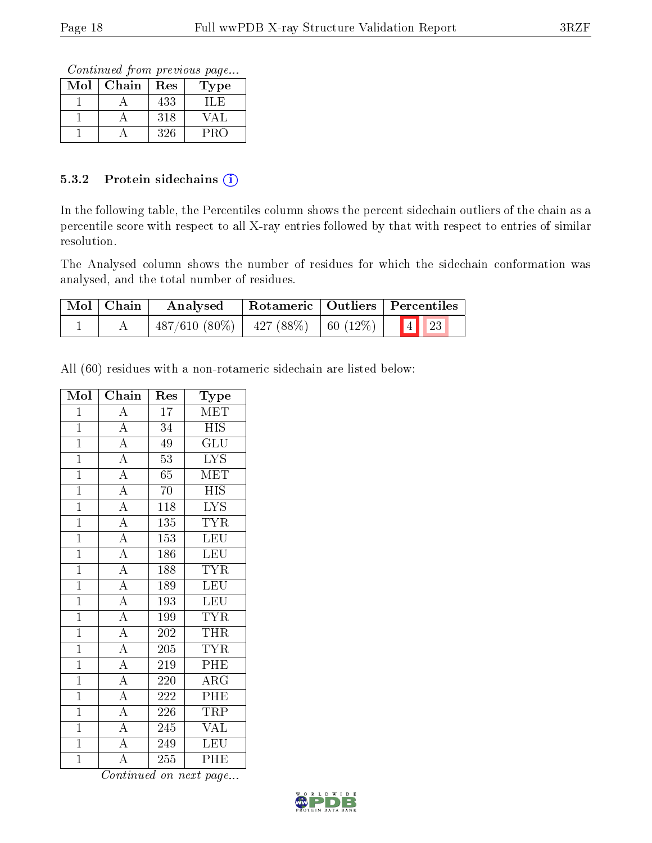Continued from previous page...

| Mol | Chain | $\operatorname{Res}% \left( \mathcal{N}\right) \equiv\operatorname{Res}(\mathcal{N}_{0})\cap\mathcal{N}_{1}$ | Type |
|-----|-------|--------------------------------------------------------------------------------------------------------------|------|
|     |       | 433                                                                                                          | LL F |
|     |       | 318                                                                                                          | √ A  |
|     |       | 326                                                                                                          | PRO  |

#### 5.3.2 Protein sidechains (i)

In the following table, the Percentiles column shows the percent sidechain outliers of the chain as a percentile score with respect to all X-ray entries followed by that with respect to entries of similar resolution.

The Analysed column shows the number of residues for which the sidechain conformation was analysed, and the total number of residues.

| Mol   Chain | Rotameric   Outliers   Percentiles<br>Analysed    |  |      |  |
|-------------|---------------------------------------------------|--|------|--|
|             | $487/610$ $(80\%)$   $427$ $(88\%)$   60 $(12\%)$ |  | 4 23 |  |

All (60) residues with a non-rotameric sidechain are listed below:

| Mol            | Chain                               | Res              | <b>Type</b>             |
|----------------|-------------------------------------|------------------|-------------------------|
| $\mathbf{1}$   | $\overline{\rm A}$                  | $\overline{17}$  | MET                     |
| $\mathbf{1}$   | $\overline{A}$                      | 34               | <b>HIS</b>              |
| $\overline{1}$ | $\overline{A}$                      | $\overline{49}$  | $\overline{{\rm GLU}}$  |
| $\overline{1}$ | $\overline{A}$                      | $\overline{53}$  | $\overline{LYS}$        |
| $\mathbf{1}$   | $\overline{A}$                      | 65               | <b>MET</b>              |
| $\overline{1}$ | $\overline{A}$                      | 70               | $\overline{HIS}$        |
| $\overline{1}$ | $\overline{A}$                      | 118              | $\overline{\text{LYS}}$ |
| $\overline{1}$ | $\overline{A}$                      | $\overline{1}35$ | <b>TYR</b>              |
| $\overline{1}$ | $\frac{\overline{A}}{\overline{A}}$ | 153              | <b>LEU</b>              |
| $\overline{1}$ |                                     | 186              | <b>LEU</b>              |
| $\mathbf{1}$   | $\overline{A}$                      | 188              | $\overline{\text{TYR}}$ |
| $\mathbf{1}$   | $\overline{A}$                      | 189              | <b>LEU</b>              |
| $\overline{1}$ | $\frac{\overline{A}}{\overline{A}}$ | $\overline{193}$ | <b>LEU</b>              |
| $\mathbf{1}$   |                                     | 199              | <b>TYR</b>              |
| $\overline{1}$ | $\overline{A}$                      | $\overline{202}$ | <b>THR</b>              |
| $\overline{1}$ | $\overline{A}$                      | 205              | <b>TYR</b>              |
| $\overline{1}$ | $\overline{A}$                      | 219              | $\overline{\rm{PHE}}$   |
| $\overline{1}$ | $\overline{A}$                      | 220              | $\overline{\rm{ARG}}$   |
| $\overline{1}$ | $\overline{A}$                      | 222              | PHE                     |
| $\overline{1}$ | $\overline{A}$                      | 226              | <b>TRP</b>              |
| $\overline{1}$ | $\overline{A}$                      | 245              | <b>VAL</b>              |
| $\overline{1}$ | $\overline{A}$                      | 249              | <b>LEU</b>              |
| $\mathbf{1}$   | $\overline{\rm A}$                  | 255              | PHE                     |

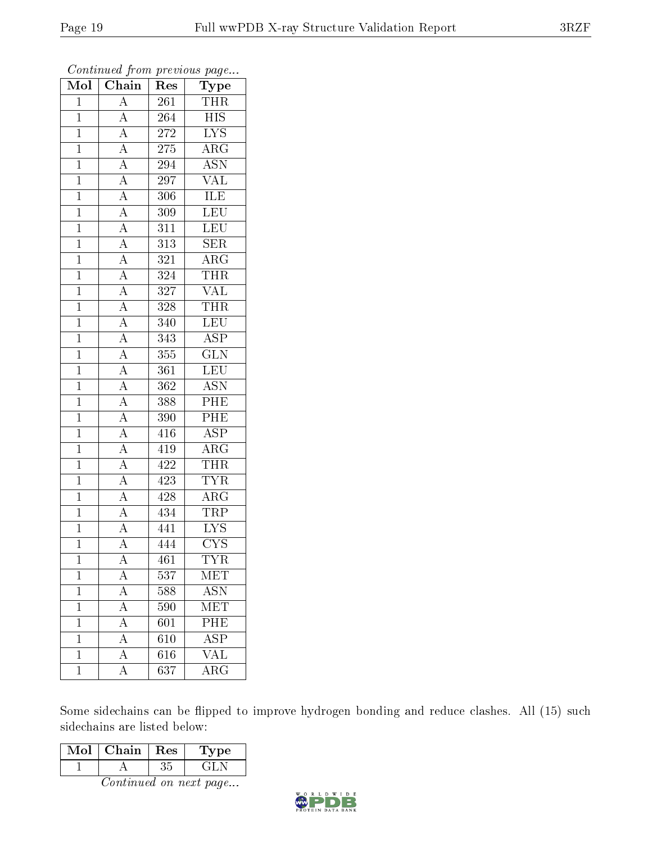| Chain<br>Mol   |                                                                                                                                                                                     | $\operatorname{Res}% \left( \mathcal{N}\right) \equiv\operatorname{Res}(\mathcal{N}_{0})\cap\mathcal{N}_{1}$ | $\mathrm{Type}$         |
|----------------|-------------------------------------------------------------------------------------------------------------------------------------------------------------------------------------|--------------------------------------------------------------------------------------------------------------|-------------------------|
| $\mathbf{1}$   | $\overline{A}$                                                                                                                                                                      | 261                                                                                                          | THR                     |
| $\mathbf{1}$   |                                                                                                                                                                                     | 264                                                                                                          | HIS                     |
| $\mathbf{1}$   | $\frac{\overline{A}}{\overline{A}}$                                                                                                                                                 | 272                                                                                                          | $\overline{\text{LYS}}$ |
| $\mathbf{1}$   |                                                                                                                                                                                     | $275\,$                                                                                                      | $\rm{ARG}$              |
| $\overline{1}$ |                                                                                                                                                                                     | 294                                                                                                          | $\overline{\text{ASN}}$ |
| $\mathbf{1}$   | $\frac{\overline{A}}{\overline{A}}$ $\frac{\overline{A}}{\overline{A}}$                                                                                                             | 297                                                                                                          | <b>VAL</b>              |
| $\mathbf{1}$   |                                                                                                                                                                                     | 306                                                                                                          | $\overline{\text{ILE}}$ |
| $\mathbf{1}$   |                                                                                                                                                                                     | 309                                                                                                          | $\overline{\text{LEU}}$ |
| $\mathbf{1}$   | $\frac{\overline{A}}{\overline{A}}$ $\frac{\overline{A}}{\overline{A}}$                                                                                                             | $\overline{311}$                                                                                             | $\overline{\text{LEU}}$ |
| $\overline{1}$ |                                                                                                                                                                                     | $\overline{313}$                                                                                             | SER                     |
| $\mathbf 1$    |                                                                                                                                                                                     | 321                                                                                                          | $\overline{\rm ARG}$    |
| $\mathbf{1}$   | $\overline{A}$                                                                                                                                                                      | 324                                                                                                          | THR                     |
| $\mathbf{1}$   | $\frac{\overline{A}}{\overline{A}}$                                                                                                                                                 | 327                                                                                                          | <b>VAL</b>              |
| $\overline{1}$ |                                                                                                                                                                                     | 328                                                                                                          | <b>THR</b>              |
| $\mathbf{1}$   |                                                                                                                                                                                     | $\overline{3}40$                                                                                             | LEU                     |
| $\mathbf{1}$   |                                                                                                                                                                                     | 343                                                                                                          | $\overline{\text{ASP}}$ |
| $\mathbf{1}$   |                                                                                                                                                                                     | 355                                                                                                          | $\overline{\text{GLN}}$ |
| $\mathbf{1}$   |                                                                                                                                                                                     | 361                                                                                                          | <b>LEU</b>              |
| $\mathbf{1}$   | $\frac{\overline{A}}{\overline{A}}$ $\frac{\overline{A}}{\overline{A}}$ $\frac{\overline{A}}{\overline{A}}$ $\frac{\overline{A}}{\overline{A}}$ $\frac{\overline{A}}{\overline{A}}$ | 362                                                                                                          | $\overline{\text{ASN}}$ |
| $\overline{1}$ |                                                                                                                                                                                     | 388                                                                                                          | PHE                     |
| $\mathbf{1}$   |                                                                                                                                                                                     | 390                                                                                                          | PHE                     |
| $\mathbf{1}$   |                                                                                                                                                                                     | 416                                                                                                          | $\overline{\text{ASP}}$ |
| $\mathbf{1}$   |                                                                                                                                                                                     | 419                                                                                                          | $\overline{\text{ARG}}$ |
| $\overline{1}$ |                                                                                                                                                                                     | 422                                                                                                          | <b>THR</b>              |
| $\mathbf{1}$   | $\overline{A}$                                                                                                                                                                      | 423                                                                                                          | <b>TYR</b>              |
| $\mathbf{1}$   | $\overline{A}$                                                                                                                                                                      | 428                                                                                                          | $\overline{\rm ARG}$    |
| $\mathbf{1}$   | $\frac{\overline{A}}{\overline{A}}$                                                                                                                                                 | 434                                                                                                          | <b>TRP</b>              |
| $\overline{1}$ |                                                                                                                                                                                     | 441                                                                                                          | $\overline{\text{LYS}}$ |
| $\overline{1}$ | $\overline{\rm A}$                                                                                                                                                                  | 444                                                                                                          | $\overline{\text{CYS}}$ |
| 1              | A                                                                                                                                                                                   | 461                                                                                                          | <b>TYR</b>              |
| $\mathbf 1$    | $\overline{A}$                                                                                                                                                                      | 537                                                                                                          | $\overline{\text{MET}}$ |
| $\mathbf 1$    | $\overline{A}$                                                                                                                                                                      | 588                                                                                                          | <b>ASN</b>              |
| $\mathbf 1$    | $\overline{A}$                                                                                                                                                                      | 590                                                                                                          | $ME\overline{T}$        |
| $\mathbf 1$    | $\overline{A}$                                                                                                                                                                      | 601                                                                                                          | PHE                     |
| $\mathbf 1$    | A                                                                                                                                                                                   | 610                                                                                                          | $\overline{\text{ASP}}$ |
| $\mathbf 1$    | $\overline{A}$                                                                                                                                                                      | 616                                                                                                          | $\overline{\text{VAL}}$ |
| $\mathbf{1}$   | $\overline{\rm A}$                                                                                                                                                                  | $\overline{637}$                                                                                             | $\overline{\rm ARG}$    |

Some sidechains can be flipped to improve hydrogen bonding and reduce clashes. All (15) such sidechains are listed below:

| Mol | Chain | Res | 1'уре |
|-----|-------|-----|-------|
|     |       |     |       |

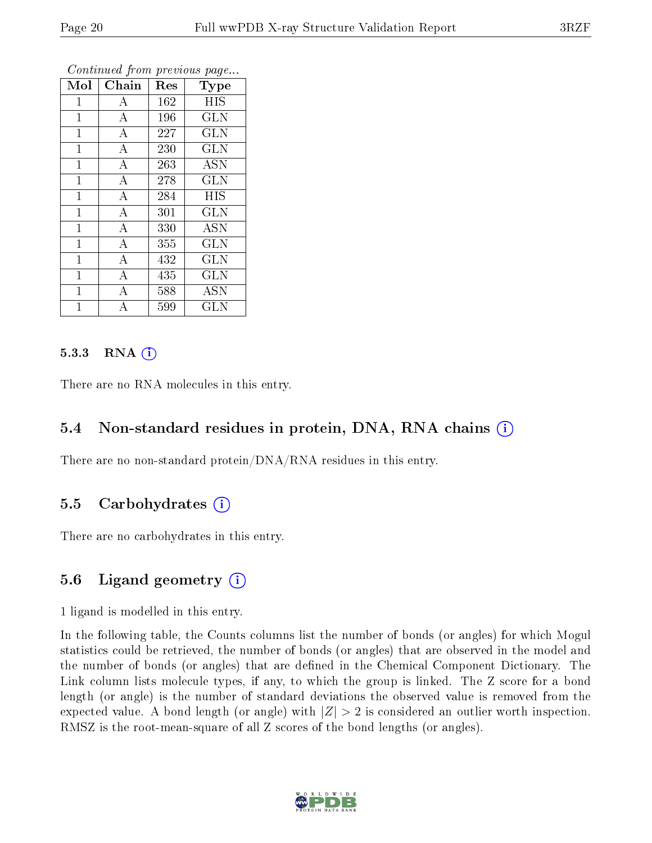| Mol            | Chain              | Res | Type         |
|----------------|--------------------|-----|--------------|
| $\mathbf{1}$   | А                  | 162 | <b>HIS</b>   |
| $\mathbf{1}$   | $\boldsymbol{A}$   | 196 | <b>GLN</b>   |
| $\mathbf 1$    | $\overline{\rm A}$ | 227 | <b>GLN</b>   |
| $\mathbf 1$    | $\bf{A}$           | 230 | <b>GLN</b>   |
| $\mathbf 1$    | $\boldsymbol{A}$   | 263 | <b>ASN</b>   |
| $\mathbf 1$    | $\boldsymbol{A}$   | 278 | <b>GLN</b>   |
| $\mathbf{1}$   | $\boldsymbol{A}$   | 284 | <b>HIS</b>   |
| $\mathbf 1$    | $\overline{\rm A}$ | 301 | <b>GLN</b>   |
| $\mathbf{1}$   | $\bf{A}$           | 330 | <b>ASN</b>   |
| $\overline{1}$ | $\overline{A}$     | 355 | GLN          |
| $\overline{1}$ | $\bf{A}$           | 432 | GLN          |
| $\overline{1}$ | $\overline{\rm A}$ | 435 | <b>GLN</b>   |
| $\overline{1}$ | A                  | 588 | <b>ASN</b>   |
| 1              | A                  | 599 | $_{\rm GLN}$ |

#### 5.3.3 RNA  $(i)$

There are no RNA molecules in this entry.

### 5.4 Non-standard residues in protein, DNA, RNA chains (i)

There are no non-standard protein/DNA/RNA residues in this entry.

#### 5.5 Carbohydrates  $(i)$

There are no carbohydrates in this entry.

### 5.6 Ligand geometry  $(i)$

1 ligand is modelled in this entry.

In the following table, the Counts columns list the number of bonds (or angles) for which Mogul statistics could be retrieved, the number of bonds (or angles) that are observed in the model and the number of bonds (or angles) that are defined in the Chemical Component Dictionary. The Link column lists molecule types, if any, to which the group is linked. The Z score for a bond length (or angle) is the number of standard deviations the observed value is removed from the expected value. A bond length (or angle) with  $|Z| > 2$  is considered an outlier worth inspection. RMSZ is the root-mean-square of all Z scores of the bond lengths (or angles).

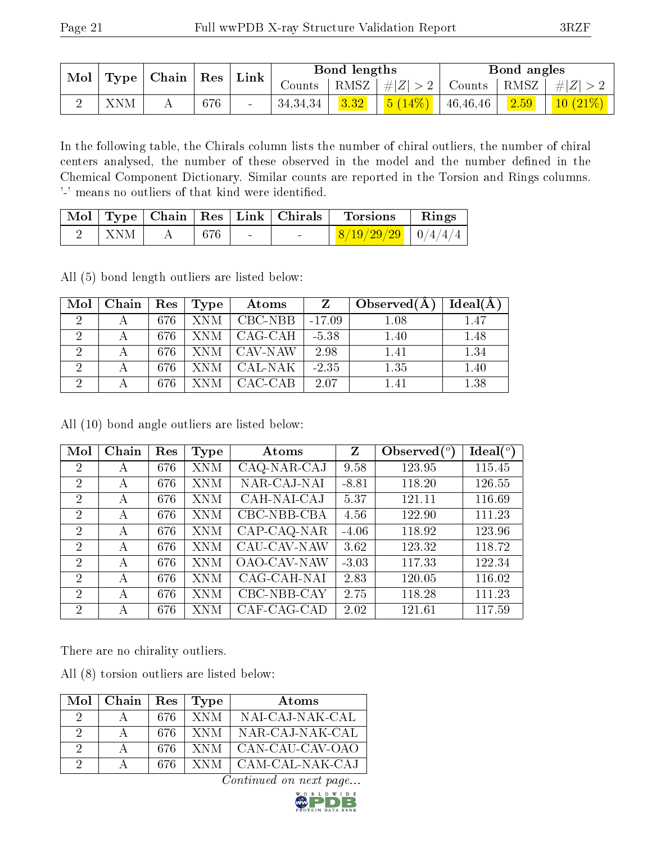| $\text{Mol}$ |     | $\vert$ Type $\vert$ Chain $\vert$ Res $\vert$ Link $\vert$ |     |                     | Bond lengths |  | Bond angles |                                                                   |
|--------------|-----|-------------------------------------------------------------|-----|---------------------|--------------|--|-------------|-------------------------------------------------------------------|
|              |     |                                                             |     |                     |              |  |             | Counts   RMSZ $\mid \#  Z  > 2$   Counts   RMSZ $\mid \#  Z  > 2$ |
|              | XNM |                                                             | 676 | $34,34,34$   $3.32$ |              |  |             | $\frac{5(14\%)}{146\%}$ 46,46,46 $\frac{2.59}{10(21\%)}$          |

In the following table, the Chirals column lists the number of chiral outliers, the number of chiral centers analysed, the number of these observed in the model and the number defined in the Chemical Component Dictionary. Similar counts are reported in the Torsion and Rings columns. '-' means no outliers of that kind were identified.

|            |     |                                   | $\mid$ Mol $\mid$ Type $\mid$ Chain $\mid$ Res $\mid$ Link $\mid$ Chirals $\mid$ Torsions | $\parallel$ Rings |
|------------|-----|-----------------------------------|-------------------------------------------------------------------------------------------|-------------------|
| <b>XNM</b> | 676 | <b>Contract Contract Contract</b> | $\frac{8}{19/29/29}$   0/4/4/4                                                            |                   |

All (5) bond length outliers are listed below:

| Mol            | Chain | Res | Type       | Atoms   | Z        | Observed $(A)$ | Ideal(A) |
|----------------|-------|-----|------------|---------|----------|----------------|----------|
| $\mathcal{D}$  |       | 676 | <b>XNM</b> | CBC-NBB | $-17.09$ | 1.08           | 1.47     |
| $\overline{2}$ |       | 676 | XNM        | CAG-CAH | $-5.38$  | 1.40           | 1.48     |
| $\overline{2}$ |       | 676 | XNM        | CAV-NAW | 2.98     | 1.41           | 1.34     |
| $\mathcal{D}$  | А     | 676 | XNM        | CAL-NAK | $-2.35$  | 1.35           | 1.40     |
|                |       | 676 | NM.        | CAC-CAB | 2.07     | 1.41           | 1.38     |

All (10) bond angle outliers are listed below:

| Mol            | Chain | Res | Type       | Atoms                     | $\mathbf{Z}$ | Observed $(°)$ | Ideal $(^\circ)$ |
|----------------|-------|-----|------------|---------------------------|--------------|----------------|------------------|
| 2              | А     | 676 | <b>XNM</b> | CAQ-NAR-CAJ               | 9.58         | 123.95         | 115.45           |
| $\overline{2}$ | А     | 676 | <b>XNM</b> | NAR-CAJ-NAI               | $-8.81$      | 118.20         | 126.55           |
| $\overline{2}$ | А     | 676 | <b>XNM</b> | CAH-NAI-CAJ               | 5.37         | 121.11         | 116.69           |
| $\overline{2}$ | А     | 676 | XNM        | CBC-NBB-CBA               | 4.56         | 122.90         | 111.23           |
| $\overline{2}$ | А     | 676 | <b>XNM</b> | CAP-CAQ-NAR               | $-4.06$      | 118.92         | 123.96           |
| 2              | A     | 676 | <b>XNM</b> | CAU-CAV-NAW               | 3.62         | 123.32         | 118.72           |
| $\overline{2}$ | А     | 676 | <b>XNM</b> | <b>OAO-CAV-NAW</b>        | $-3.03$      | 117.33         | 122.34           |
| $\overline{2}$ | А     | 676 | <b>XNM</b> | CAG-CAH-NAI               | 2.83         | 120.05         | 116.02           |
| $\mathcal{D}$  | А     | 676 | <b>XNM</b> | CBC-NBB-CAY               | 2.75         | 118.28         | 111.23           |
| $\overline{2}$ | А     | 676 | XNM        | $\overline{C}$ AF-CAG-CAD | 2.02         | 121.61         | 117.59           |

There are no chirality outliers.

All (8) torsion outliers are listed below:

|          | $Mol$   Chain | $\operatorname{Res}$ | Type | Atoms           |
|----------|---------------|----------------------|------|-----------------|
| 9        |               | 676                  | XNM. | NAI-CAJ-NAK-CAL |
| 9        |               | 676                  | XNM  | NAR-CAJ-NAK-CAL |
| 9        |               | 676                  | XNM  | CAN-CAU-CAV-OAO |
| $\Omega$ |               | 676                  | XNM  | CAM-CAL-NAK-CAJ |

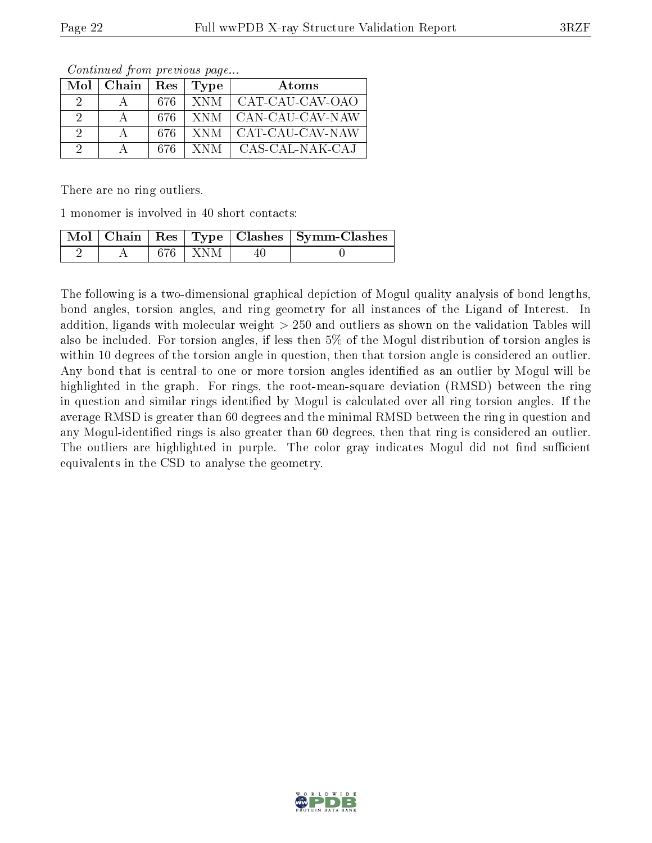| Mol | Chain | Res  | Type | Atoms           |
|-----|-------|------|------|-----------------|
| 9   |       | -676 | XNM- | CAT-CAU-CAV-OAO |
| 2   |       | 676  | XNM. | CAN-CAU-CAV-NAW |
| 2   |       | 676  | XNM. | CAT-CAU-CAV-NAW |
| 9   |       | 676  | XNM- | CAS-CAL-NAK-CAJ |

Continued from previous page...

There are no ring outliers.

1 monomer is involved in 40 short contacts:

|  |           | Mol   Chain   Res   Type   Clashes   Symm-Clashes |
|--|-----------|---------------------------------------------------|
|  | 676   XNM |                                                   |

The following is a two-dimensional graphical depiction of Mogul quality analysis of bond lengths, bond angles, torsion angles, and ring geometry for all instances of the Ligand of Interest. In addition, ligands with molecular weight > 250 and outliers as shown on the validation Tables will also be included. For torsion angles, if less then 5% of the Mogul distribution of torsion angles is within 10 degrees of the torsion angle in question, then that torsion angle is considered an outlier. Any bond that is central to one or more torsion angles identified as an outlier by Mogul will be highlighted in the graph. For rings, the root-mean-square deviation (RMSD) between the ring in question and similar rings identified by Mogul is calculated over all ring torsion angles. If the average RMSD is greater than 60 degrees and the minimal RMSD between the ring in question and any Mogul-identied rings is also greater than 60 degrees, then that ring is considered an outlier. The outliers are highlighted in purple. The color gray indicates Mogul did not find sufficient equivalents in the CSD to analyse the geometry.

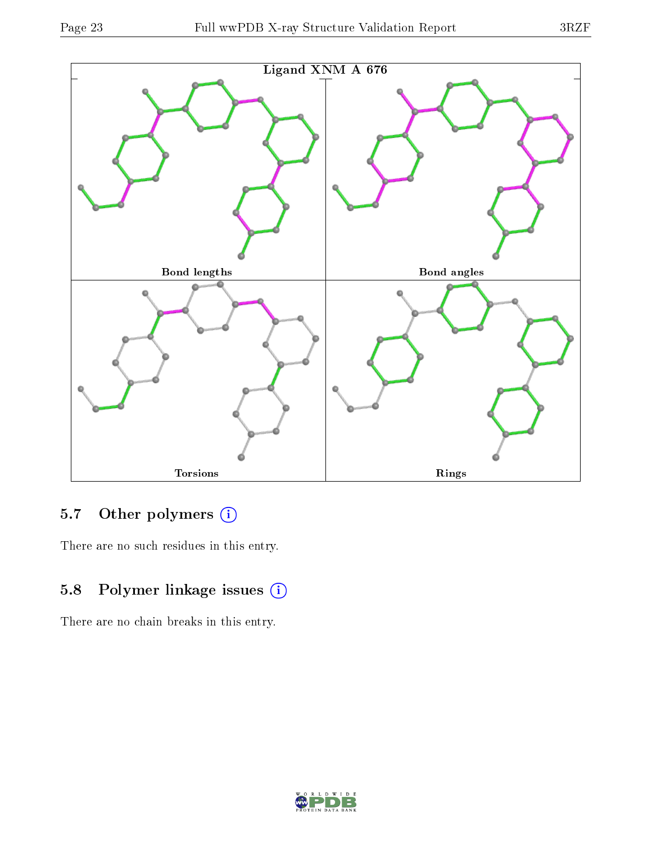



## 5.7 [O](https://www.wwpdb.org/validation/2017/XrayValidationReportHelp#nonstandard_residues_and_ligands)ther polymers (i)

There are no such residues in this entry.

### 5.8 Polymer linkage issues (i)

There are no chain breaks in this entry.

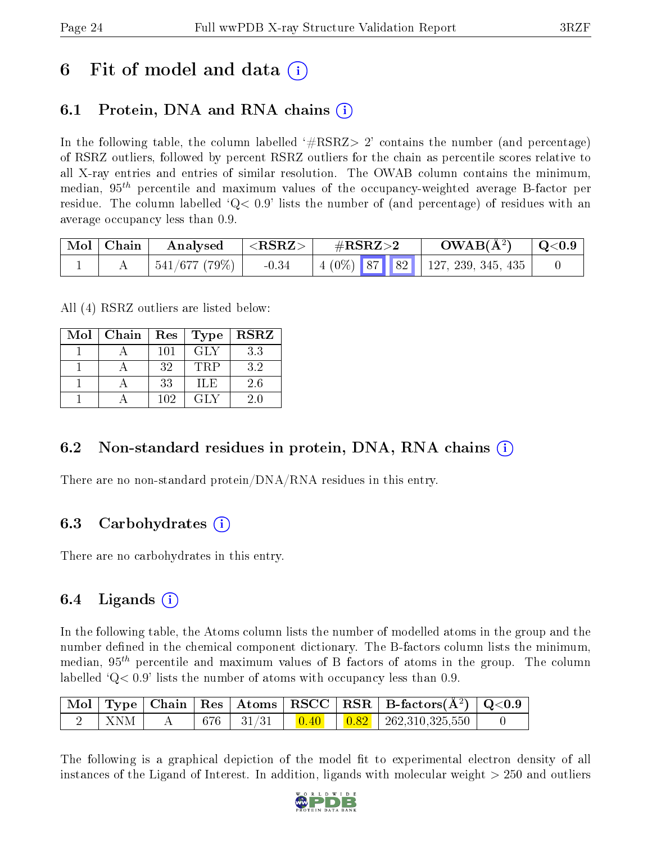# 6 Fit of model and data  $\left( \cdot \right)$

## 6.1 Protein, DNA and RNA chains (i)

In the following table, the column labelled  $#RSRZ> 2'$  contains the number (and percentage) of RSRZ outliers, followed by percent RSRZ outliers for the chain as percentile scores relative to all X-ray entries and entries of similar resolution. The OWAB column contains the minimum, median,  $95<sup>th</sup>$  percentile and maximum values of the occupancy-weighted average B-factor per residue. The column labelled  $Q < 0.9$  lists the number of (and percentage) of residues with an average occupancy less than 0.9.

| $\mid$ Mol $\mid$ Chain $\mid$ | Analysed              | $^{-1}$ $<$ $\mathrm{RSRZ}$ $>$ $+$<br>$\#\text{RSRZ}\text{>2}$ |  | $OWAB(A^2)$                                | $\mid$ Q<0.9 |
|--------------------------------|-----------------------|-----------------------------------------------------------------|--|--------------------------------------------|--------------|
|                                | $+$ 541/677 (79%) $+$ | $-0.34$                                                         |  | $\mid$ 4 (0%) 87   82   127, 239, 345, 435 |              |

All (4) RSRZ outliers are listed below:

| Mol | Chain | $\operatorname{Res}% \left( \mathcal{N}\right) \equiv\operatorname{Res}(\mathcal{N}_{0})\cap\operatorname{Res}(\mathcal{N}_{0})$ | Type       | <b>RSRZ</b> |
|-----|-------|----------------------------------------------------------------------------------------------------------------------------------|------------|-------------|
|     |       | 101                                                                                                                              | <b>GLY</b> | 3.3         |
|     |       | 32                                                                                                                               | TRP        | 3.2         |
|     |       | 33                                                                                                                               | ILE        | 2.6         |
|     |       | 102                                                                                                                              | GLY        | 20          |

### 6.2 Non-standard residues in protein, DNA, RNA chains  $(i)$

There are no non-standard protein/DNA/RNA residues in this entry.

### 6.3 Carbohydrates (i)

There are no carbohydrates in this entry.

### $6.4$  Ligands  $(i)$

In the following table, the Atoms column lists the number of modelled atoms in the group and the number defined in the chemical component dictionary. The B-factors column lists the minimum, median,  $95<sup>th</sup>$  percentile and maximum values of B factors of atoms in the group. The column labelled  $Q< 0.9$  lists the number of atoms with occupancy less than 0.9.

|       |  |                 |  | $\mid$ Mol $\mid$ Type $\mid$ Chain $\mid$ Res $\mid$ Atoms $\mid$ RSCC $\mid$ RSR $\mid$ B-factors(A <sup>2</sup> ) $\mid$ Q<0.9 $\mid$ |  |
|-------|--|-----------------|--|------------------------------------------------------------------------------------------------------------------------------------------|--|
| - XNM |  | $676$   $31/31$ |  | $\begin{array}{ c c c c c c c c } \hline 0.40 & 0.82 & 262.310.325.550 \hline \end{array}$                                               |  |

The following is a graphical depiction of the model fit to experimental electron density of all instances of the Ligand of Interest. In addition, ligands with molecular weight  $> 250$  and outliers